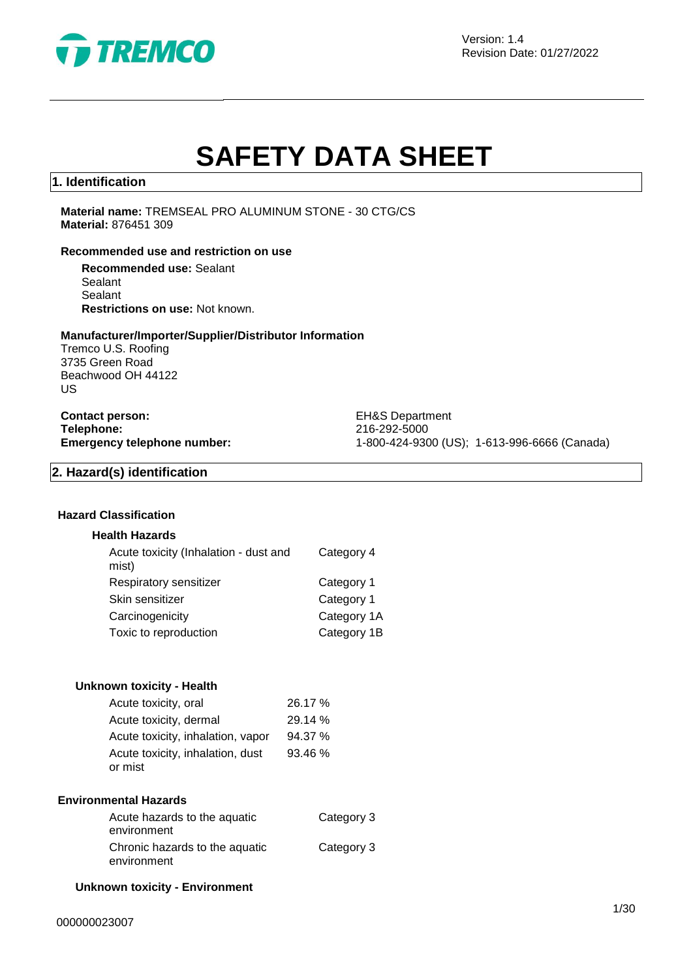

Version: 1.4 Revision Date: 01/27/2022

# **SAFETY DATA SHEET**

### **1. Identification**

**Material name:** TREMSEAL PRO ALUMINUM STONE - 30 CTG/CS **Material:** 876451 309

### **Recommended use and restriction on use**

**Recommended use:** Sealant Sealant Sealant **Restrictions on use:** Not known.

### **Manufacturer/Importer/Supplier/Distributor Information**

Tremco U.S. Roofing 3735 Green Road Beachwood OH 44122 US

**Contact person:** EH&S Department **Telephone:** 216-292-5000<br> **Emergency telephone number:** 216-292-5000<br>
21-800-424-930

**Emergency telephone number:** 1-800-424-9300 (US); 1-613-996-6666 (Canada)

### **2. Hazard(s) identification**

### **Hazard Classification**

### **Health Hazards**

| Acute toxicity (Inhalation - dust and<br>mist) | Category 4  |
|------------------------------------------------|-------------|
| Respiratory sensitizer                         | Category 1  |
| Skin sensitizer                                | Category 1  |
| Carcinogenicity                                | Category 1A |
| Toxic to reproduction                          | Category 1B |
|                                                |             |

### **Unknown toxicity - Health**

| Acute toxicity, oral              | 26.17 % |
|-----------------------------------|---------|
| Acute toxicity, dermal            | 29.14 % |
| Acute toxicity, inhalation, vapor | 94.37 % |
| Acute toxicity, inhalation, dust  | 93.46%  |
| or mist                           |         |

#### **Environmental Hazards**

| Acute hazards to the aquatic   | Category 3 |
|--------------------------------|------------|
| environment                    |            |
| Chronic hazards to the aquatic | Category 3 |
| environment                    |            |

### **Unknown toxicity - Environment**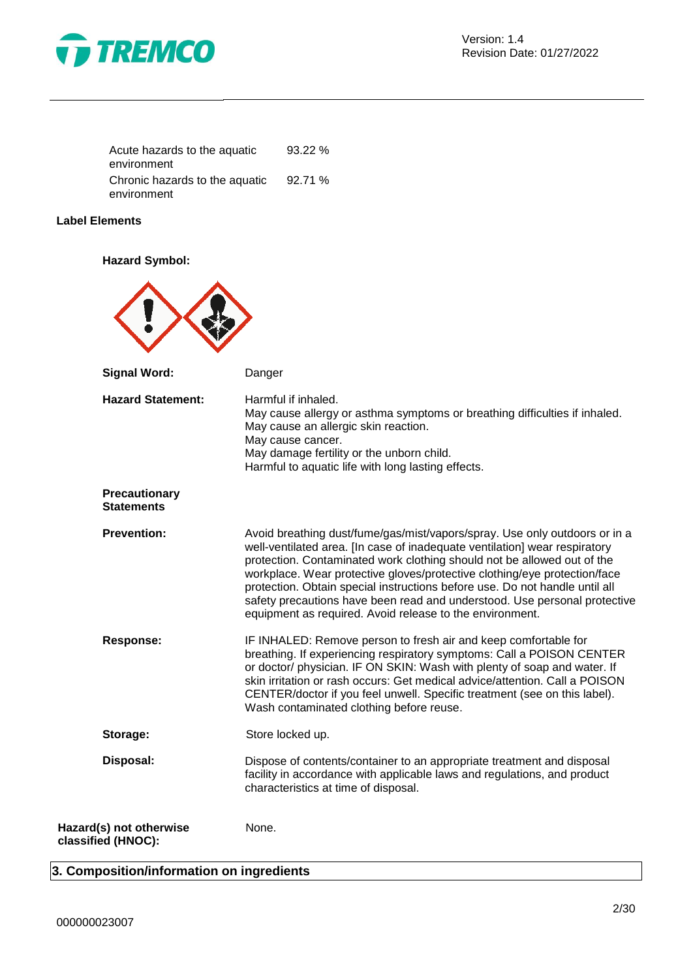

| Acute hazards to the aquatic   | 93.22% |
|--------------------------------|--------|
| environment                    |        |
| Chronic hazards to the aquatic | 92.71% |
| environment                    |        |

### **Label Elements**

**Hazard Symbol:**



### **3. Composition/information on ingredients**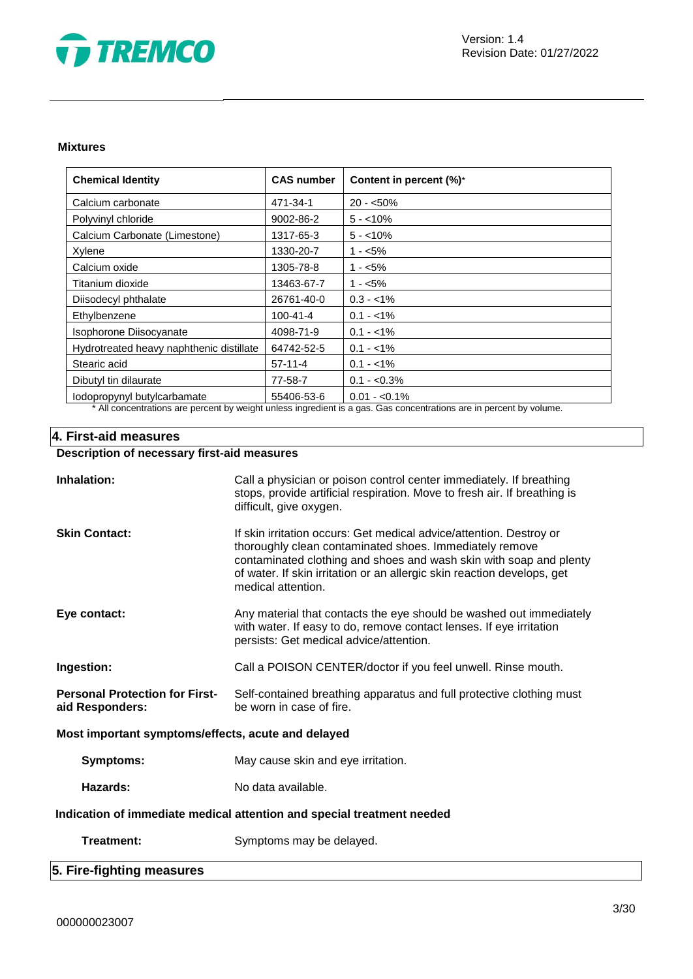

### **Mixtures**

| <b>Chemical Identity</b>                 | <b>CAS number</b> | Content in percent (%)*                                                                                                          |
|------------------------------------------|-------------------|----------------------------------------------------------------------------------------------------------------------------------|
| Calcium carbonate                        | 471-34-1          | $20 - 50\%$                                                                                                                      |
| Polyvinyl chloride                       | 9002-86-2         | $5 - 10\%$                                                                                                                       |
| Calcium Carbonate (Limestone)            | 1317-65-3         | $5 - 10\%$                                                                                                                       |
| Xylene                                   | 1330-20-7         | $1 - 5\%$                                                                                                                        |
| Calcium oxide                            | 1305-78-8         | $1 - 5\%$                                                                                                                        |
| Titanium dioxide                         | 13463-67-7        | $1 - 5\%$                                                                                                                        |
| Diisodecyl phthalate                     | 26761-40-0        | $0.3 - 1\%$                                                                                                                      |
| Ethylbenzene                             | 100-41-4          | $0.1 - 1\%$                                                                                                                      |
| Isophorone Diisocyanate                  | 4098-71-9         | $0.1 - 1\%$                                                                                                                      |
| Hydrotreated heavy naphthenic distillate | 64742-52-5        | $0.1 - 1\%$                                                                                                                      |
| Stearic acid                             | $57-11-4$         | $0.1 - 1\%$                                                                                                                      |
| Dibutyl tin dilaurate                    | 77-58-7           | $0.1 - 0.3\%$                                                                                                                    |
| lodopropynyl butylcarbamate              | 55406-53-6        | $0.01 - 0.1\%$<br>ada ada dagaalki boolatiikka ookaa ta'uu altakki ta'uu ada ∧aada adaa adaa ka aada ta'uu adaa aa koobaalkii aa |

\* All concentrations are percent by weight unless ingredient is a gas. Gas concentrations are in percent by volume.

### **4. First-aid measures**

### **Description of necessary first-aid measures**

| Inhalation:                                                            | Call a physician or poison control center immediately. If breathing<br>stops, provide artificial respiration. Move to fresh air. If breathing is<br>difficult, give oxygen.                                                                                                                           |  |
|------------------------------------------------------------------------|-------------------------------------------------------------------------------------------------------------------------------------------------------------------------------------------------------------------------------------------------------------------------------------------------------|--|
| <b>Skin Contact:</b>                                                   | If skin irritation occurs: Get medical advice/attention. Destroy or<br>thoroughly clean contaminated shoes. Immediately remove<br>contaminated clothing and shoes and wash skin with soap and plenty<br>of water. If skin irritation or an allergic skin reaction develops, get<br>medical attention. |  |
| Eye contact:                                                           | Any material that contacts the eye should be washed out immediately<br>with water. If easy to do, remove contact lenses. If eye irritation<br>persists: Get medical advice/attention.                                                                                                                 |  |
| Ingestion:                                                             | Call a POISON CENTER/doctor if you feel unwell. Rinse mouth.                                                                                                                                                                                                                                          |  |
| <b>Personal Protection for First-</b><br>aid Responders:               | Self-contained breathing apparatus and full protective clothing must<br>be worn in case of fire.                                                                                                                                                                                                      |  |
| Most important symptoms/effects, acute and delayed                     |                                                                                                                                                                                                                                                                                                       |  |
| Symptoms:                                                              | May cause skin and eye irritation.                                                                                                                                                                                                                                                                    |  |
| Hazards:                                                               | No data available.                                                                                                                                                                                                                                                                                    |  |
| Indication of immediate medical attention and special treatment needed |                                                                                                                                                                                                                                                                                                       |  |
| Treatment:                                                             | Symptoms may be delayed.                                                                                                                                                                                                                                                                              |  |

### **5. Fire-fighting measures**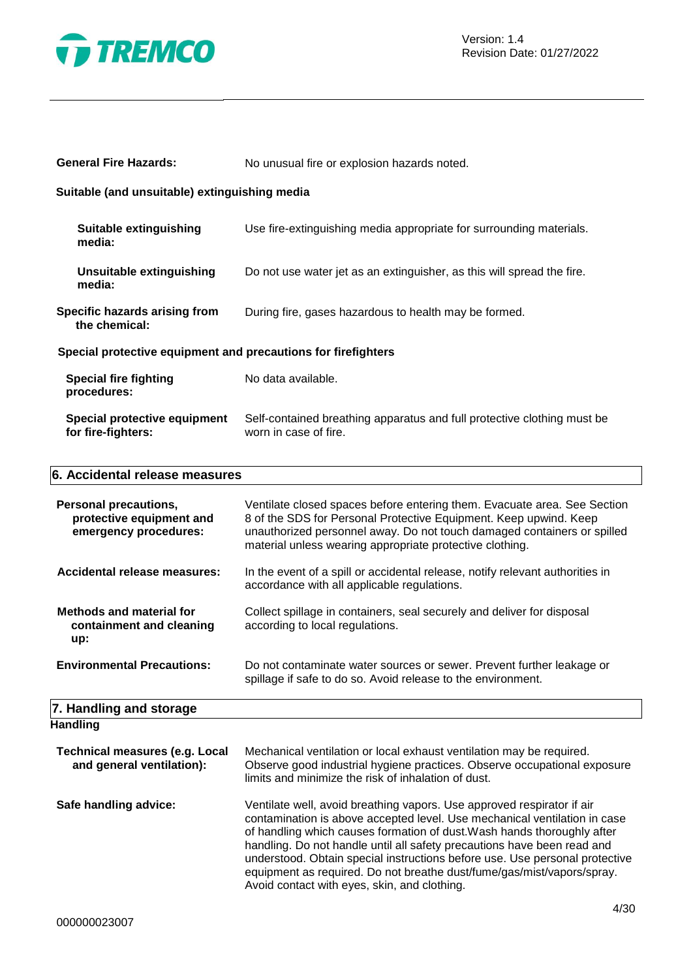

| Suitable (and unsuitable) extinguishing media                                     |                                                                                                                                                                                                                                                                                      |  |  |
|-----------------------------------------------------------------------------------|--------------------------------------------------------------------------------------------------------------------------------------------------------------------------------------------------------------------------------------------------------------------------------------|--|--|
| <b>Suitable extinguishing</b><br>media:                                           | Use fire-extinguishing media appropriate for surrounding materials.                                                                                                                                                                                                                  |  |  |
| <b>Unsuitable extinguishing</b><br>media:                                         | Do not use water jet as an extinguisher, as this will spread the fire.                                                                                                                                                                                                               |  |  |
| Specific hazards arising from<br>the chemical:                                    | During fire, gases hazardous to health may be formed.                                                                                                                                                                                                                                |  |  |
| Special protective equipment and precautions for firefighters                     |                                                                                                                                                                                                                                                                                      |  |  |
| <b>Special fire fighting</b><br>procedures:                                       | No data available.                                                                                                                                                                                                                                                                   |  |  |
| Special protective equipment<br>for fire-fighters:                                | Self-contained breathing apparatus and full protective clothing must be<br>worn in case of fire.                                                                                                                                                                                     |  |  |
| 6. Accidental release measures                                                    |                                                                                                                                                                                                                                                                                      |  |  |
| <b>Personal precautions,</b><br>protective equipment and<br>emergency procedures: | Ventilate closed spaces before entering them. Evacuate area. See Section<br>8 of the SDS for Personal Protective Equipment. Keep upwind. Keep<br>unauthorized personnel away. Do not touch damaged containers or spilled<br>material unless wearing appropriate protective clothing. |  |  |

**General Fire Hazards:** No unusual fire or explosion hazards noted.

| Accidental release measures:                                       | In the event of a spill or accidental release, notify relevant authorities in<br>accordance with all applicable regulations. |
|--------------------------------------------------------------------|------------------------------------------------------------------------------------------------------------------------------|
| <b>Methods and material for</b><br>containment and cleaning<br>up: | Collect spillage in containers, seal securely and deliver for disposal<br>according to local regulations.                    |

**Environmental Precautions:** Do not contaminate water sources or sewer. Prevent further leakage or spillage if safe to do so. Avoid release to the environment.

### **7. Handling and storage Handling**

| .                                                                  |                                                                                                                                                                                                                                                                                                                                                                                                                                                                                                                    |
|--------------------------------------------------------------------|--------------------------------------------------------------------------------------------------------------------------------------------------------------------------------------------------------------------------------------------------------------------------------------------------------------------------------------------------------------------------------------------------------------------------------------------------------------------------------------------------------------------|
| <b>Technical measures (e.g. Local</b><br>and general ventilation): | Mechanical ventilation or local exhaust ventilation may be required.<br>Observe good industrial hygiene practices. Observe occupational exposure<br>limits and minimize the risk of inhalation of dust.                                                                                                                                                                                                                                                                                                            |
| Safe handling advice:                                              | Ventilate well, avoid breathing vapors. Use approved respirator if air<br>contamination is above accepted level. Use mechanical ventilation in case<br>of handling which causes formation of dust. Wash hands thoroughly after<br>handling. Do not handle until all safety precautions have been read and<br>understood. Obtain special instructions before use. Use personal protective<br>equipment as required. Do not breathe dust/fume/gas/mist/vapors/spray.<br>Avoid contact with eyes, skin, and clothing. |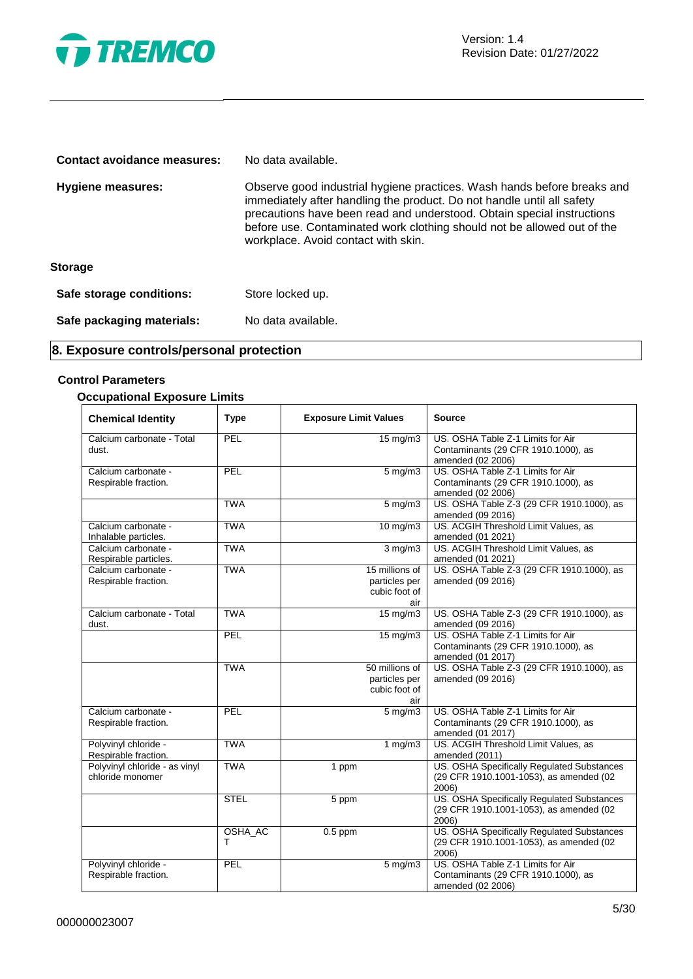

| <b>Contact avoidance measures:</b> | No data available.                                                                                                                                                                                                                                                                                                                            |
|------------------------------------|-----------------------------------------------------------------------------------------------------------------------------------------------------------------------------------------------------------------------------------------------------------------------------------------------------------------------------------------------|
| <b>Hygiene measures:</b>           | Observe good industrial hygiene practices. Wash hands before breaks and<br>immediately after handling the product. Do not handle until all safety<br>precautions have been read and understood. Obtain special instructions<br>before use. Contaminated work clothing should not be allowed out of the<br>workplace. Avoid contact with skin. |
| <b>Storage</b>                     |                                                                                                                                                                                                                                                                                                                                               |
| Safe storage conditions:           | Store locked up.                                                                                                                                                                                                                                                                                                                              |
| Safe packaging materials:          | No data available.                                                                                                                                                                                                                                                                                                                            |

### **8. Exposure controls/personal protection**

### **Control Parameters**

### **Occupational Exposure Limits**

| <b>Chemical Identity</b>                          | <b>Type</b>  | <b>Exposure Limit Values</b>                            | <b>Source</b>                                                                                  |
|---------------------------------------------------|--------------|---------------------------------------------------------|------------------------------------------------------------------------------------------------|
| Calcium carbonate - Total<br>dust.                | PEL          | $15 \,\mathrm{mg/m}$                                    | US. OSHA Table Z-1 Limits for Air<br>Contaminants (29 CFR 1910.1000), as<br>amended (02 2006)  |
| Calcium carbonate -<br>Respirable fraction.       | PEL          | $5$ mg/m $3$                                            | US. OSHA Table Z-1 Limits for Air<br>Contaminants (29 CFR 1910.1000), as<br>amended (02 2006)  |
|                                                   | <b>TWA</b>   | $5$ mg/m $3$                                            | US. OSHA Table Z-3 (29 CFR 1910.1000), as<br>amended (09 2016)                                 |
| Calcium carbonate -<br>Inhalable particles.       | <b>TWA</b>   | 10 mg/m3                                                | US. ACGIH Threshold Limit Values, as<br>amended (01 2021)                                      |
| Calcium carbonate -<br>Respirable particles.      | <b>TWA</b>   | $3 \overline{\mathrm{mg}}$ m3                           | US. ACGIH Threshold Limit Values, as<br>amended (01 2021)                                      |
| Calcium carbonate -<br>Respirable fraction.       | <b>TWA</b>   | 15 millions of<br>particles per<br>cubic foot of<br>air | US. OSHA Table Z-3 (29 CFR 1910.1000), as<br>amended (09 2016)                                 |
| Calcium carbonate - Total<br>dust.                | <b>TWA</b>   | $15 \,\mathrm{mg/m}$                                    | US. OSHA Table Z-3 (29 CFR 1910.1000), as<br>amended (09 2016)                                 |
|                                                   | PEL          | $15 \text{ mg/m}$                                       | US. OSHA Table Z-1 Limits for Air<br>Contaminants (29 CFR 1910.1000), as<br>amended (01 2017)  |
|                                                   | <b>TWA</b>   | 50 millions of<br>particles per<br>cubic foot of<br>air | US. OSHA Table Z-3 (29 CFR 1910.1000), as<br>amended (09 2016)                                 |
| Calcium carbonate -<br>Respirable fraction.       | PEL          | $5 \text{ mg/m}$                                        | US. OSHA Table Z-1 Limits for Air<br>Contaminants (29 CFR 1910.1000), as<br>amended (01 2017)  |
| Polyvinyl chloride -<br>Respirable fraction.      | <b>TWA</b>   | 1 $mg/m3$                                               | US. ACGIH Threshold Limit Values, as<br>amended (2011)                                         |
| Polyvinyl chloride - as vinyl<br>chloride monomer | <b>TWA</b>   | 1 ppm                                                   | US. OSHA Specifically Regulated Substances<br>(29 CFR 1910.1001-1053), as amended (02<br>2006) |
|                                                   | <b>STEL</b>  | $\overline{5}$ ppm                                      | US. OSHA Specifically Regulated Substances<br>(29 CFR 1910.1001-1053), as amended (02<br>2006) |
|                                                   | OSHA_AC<br>т | $0.5$ ppm                                               | US. OSHA Specifically Regulated Substances<br>(29 CFR 1910.1001-1053), as amended (02<br>2006) |
| Polyvinyl chloride -<br>Respirable fraction.      | PEL          | $\frac{1}{5}$ mg/m3                                     | US. OSHA Table Z-1 Limits for Air<br>Contaminants (29 CFR 1910.1000), as<br>amended (02 2006)  |

 $\overline{\phantom{0}}$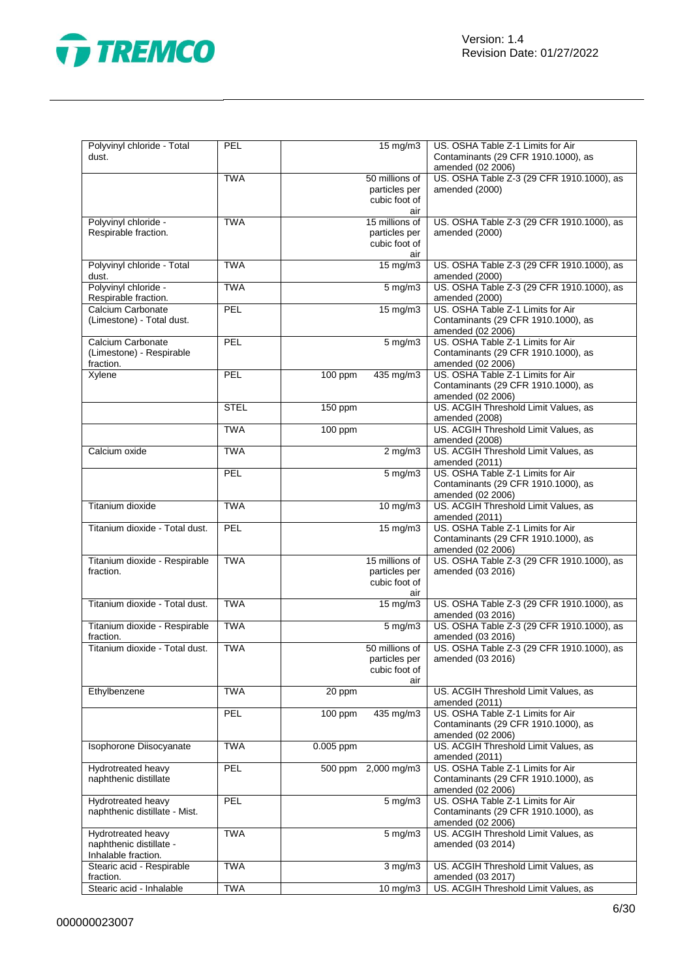

| Polyvinyl chloride - Total<br>dust.                                  | PEL         | 15 mg/m3                                         | US. OSHA Table Z-1 Limits for Air<br>Contaminants (29 CFR 1910.1000), as<br>amended (02 2006) |
|----------------------------------------------------------------------|-------------|--------------------------------------------------|-----------------------------------------------------------------------------------------------|
|                                                                      | <b>TWA</b>  | 50 millions of<br>particles per<br>cubic foot of | US. OSHA Table Z-3 (29 CFR 1910.1000), as<br>amended (2000)<br>air                            |
| Polyvinyl chloride -<br>Respirable fraction.                         | <b>TWA</b>  | 15 millions of<br>particles per<br>cubic foot of | US. OSHA Table Z-3 (29 CFR 1910.1000), as<br>amended (2000)<br>air                            |
| Polyvinyl chloride - Total<br>dust.                                  | <b>TWA</b>  | $15 \text{ mg/m}$                                | US. OSHA Table Z-3 (29 CFR 1910.1000), as<br>amended (2000)                                   |
| Polyvinyl chloride -<br>Respirable fraction.                         | <b>TWA</b>  | $5 \overline{\mathrm{mg}}$ m3                    | US. OSHA Table Z-3 (29 CFR 1910.1000), as<br>amended (2000)                                   |
| Calcium Carbonate<br>(Limestone) - Total dust.                       | PEL         | 15 mg/m3                                         | US. OSHA Table Z-1 Limits for Air<br>Contaminants (29 CFR 1910.1000), as<br>amended (02 2006) |
| Calcium Carbonate<br>(Limestone) - Respirable<br>fraction.           | PEL         | $5 \text{ mg/m}$                                 | US. OSHA Table Z-1 Limits for Air<br>Contaminants (29 CFR 1910.1000), as<br>amended (02 2006) |
| Xylene                                                               | PEL         | 100 ppm<br>435 mg/m3                             | US. OSHA Table Z-1 Limits for Air<br>Contaminants (29 CFR 1910.1000), as<br>amended (02 2006) |
|                                                                      | <b>STEL</b> | 150 ppm                                          | US. ACGIH Threshold Limit Values, as<br>amended (2008)                                        |
|                                                                      | <b>TWA</b>  | 100 ppm                                          | US. ACGIH Threshold Limit Values, as<br>amended (2008)                                        |
| Calcium oxide                                                        | <b>TWA</b>  | $2 \overline{\text{mg}}$ m3                      | US. ACGIH Threshold Limit Values, as<br>amended (2011)                                        |
|                                                                      | <b>PEL</b>  | 5 mg/m3                                          | US. OSHA Table Z-1 Limits for Air<br>Contaminants (29 CFR 1910.1000), as<br>amended (02 2006) |
| Titanium dioxide                                                     | <b>TWA</b>  | 10 mg/m3                                         | US. ACGIH Threshold Limit Values, as<br>amended (2011)                                        |
| Titanium dioxide - Total dust.                                       | PEL         | $15 \text{ mg/m}$                                | US. OSHA Table Z-1 Limits for Air<br>Contaminants (29 CFR 1910.1000), as<br>amended (02 2006) |
| Titanium dioxide - Respirable<br>fraction.                           | <b>TWA</b>  | 15 millions of<br>particles per<br>cubic foot of | US. OSHA Table Z-3 (29 CFR 1910.1000), as<br>amended (03 2016)<br>air                         |
| Titanium dioxide - Total dust.                                       | <b>TWA</b>  | $15 \text{ mg/m}$                                | US. OSHA Table Z-3 (29 CFR 1910.1000), as<br>amended (03 2016)                                |
| Titanium dioxide - Respirable<br>fraction.                           | <b>TWA</b>  | 5 mg/m3                                          | US. OSHA Table Z-3 (29 CFR 1910.1000), as<br>amended (03 2016)                                |
| Titanium dioxide - Total dust.                                       | <b>TWA</b>  | 50 millions of<br>particles per<br>cubic foot of | US. OSHA Table Z-3 (29 CFR 1910.1000), as<br>amended (03 2016)<br>air                         |
| Ethylbenzene                                                         | <b>TWA</b>  | 20 ppm                                           | US. ACGIH Threshold Limit Values, as<br>amended (2011)                                        |
|                                                                      | PEL         | 100 ppm<br>435 mg/m3                             | US. OSHA Table Z-1 Limits for Air<br>Contaminants (29 CFR 1910.1000), as<br>amended (02 2006) |
| Isophorone Diisocyanate                                              | <b>TWA</b>  | 0.005 ppm                                        | US. ACGIH Threshold Limit Values, as<br>amended (2011)                                        |
| Hydrotreated heavy<br>naphthenic distillate                          | PEL         | 500 ppm 2,000 mg/m3                              | US. OSHA Table Z-1 Limits for Air<br>Contaminants (29 CFR 1910.1000), as<br>amended (02 2006) |
| Hydrotreated heavy<br>naphthenic distillate - Mist.                  | PEL         | $5 \text{ mg/m}$                                 | US. OSHA Table Z-1 Limits for Air<br>Contaminants (29 CFR 1910.1000), as<br>amended (02 2006) |
| Hydrotreated heavy<br>naphthenic distillate -<br>Inhalable fraction. | <b>TWA</b>  | $5 \text{ mg/m}$ 3                               | US. ACGIH Threshold Limit Values, as<br>amended (03 2014)                                     |
| Stearic acid - Respirable<br>fraction.                               | <b>TWA</b>  | $3$ mg/m $3$                                     | US. ACGIH Threshold Limit Values, as<br>amended (03 2017)                                     |
| Stearic acid - Inhalable                                             | <b>TWA</b>  | $\overline{10}$ mg/m3                            | US. ACGIH Threshold Limit Values, as                                                          |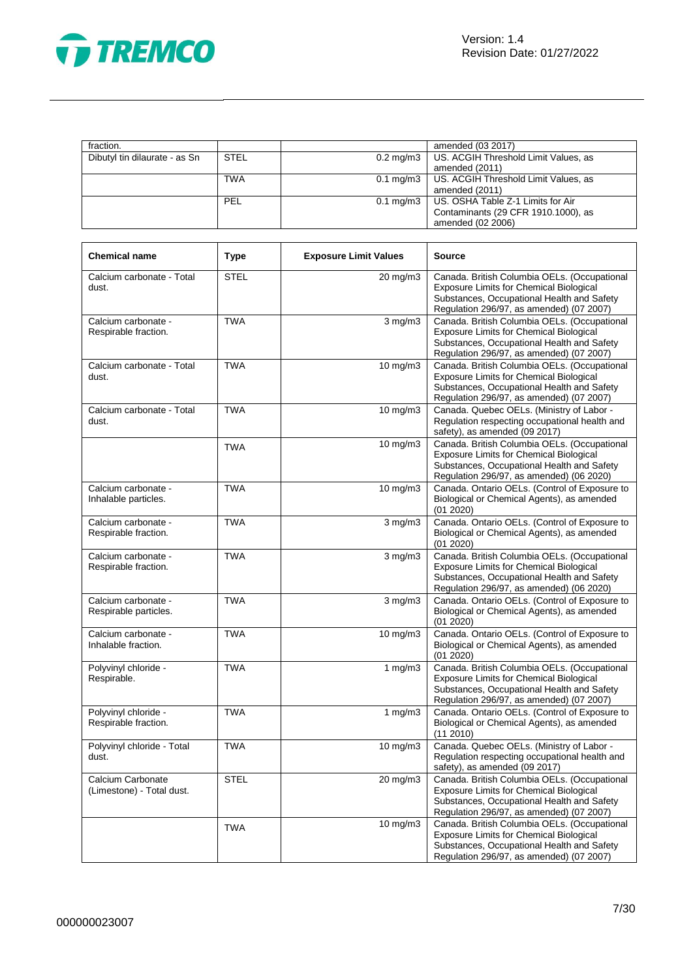

|             |                      | amended (03 2017)                                |
|-------------|----------------------|--------------------------------------------------|
| <b>STEL</b> | $0.2 \text{ mg/m}$ 3 | US. ACGIH Threshold Limit Values, as             |
|             |                      | amended (2011)                                   |
| <b>TWA</b>  |                      | 0.1 mg/m3   US. ACGIH Threshold Limit Values, as |
|             |                      | amended (2011)                                   |
| PEL         | $0.1 \text{ mg/m}$ 3 | US. OSHA Table Z-1 Limits for Air                |
|             |                      | Contaminants (29 CFR 1910.1000), as              |
|             |                      | amended (02 2006)                                |
|             |                      |                                                  |

| <b>Chemical name</b>                           | <b>Type</b> | <b>Exposure Limit Values</b> | <b>Source</b>                                                                                                                                                                            |
|------------------------------------------------|-------------|------------------------------|------------------------------------------------------------------------------------------------------------------------------------------------------------------------------------------|
| Calcium carbonate - Total<br>dust.             | <b>STEL</b> | $20 \text{ mg/m}$ 3          | Canada. British Columbia OELs. (Occupational<br><b>Exposure Limits for Chemical Biological</b><br>Substances, Occupational Health and Safety<br>Regulation 296/97, as amended) (07 2007) |
| Calcium carbonate -<br>Respirable fraction.    | <b>TWA</b>  | $3$ mg/m $3$                 | Canada. British Columbia OELs. (Occupational<br><b>Exposure Limits for Chemical Biological</b><br>Substances, Occupational Health and Safety<br>Regulation 296/97, as amended) (07 2007) |
| Calcium carbonate - Total<br>dust.             | <b>TWA</b>  | 10 mg/m3                     | Canada. British Columbia OELs. (Occupational<br><b>Exposure Limits for Chemical Biological</b><br>Substances, Occupational Health and Safety<br>Regulation 296/97, as amended) (07 2007) |
| Calcium carbonate - Total<br>dust.             | <b>TWA</b>  | 10 mg/m3                     | Canada. Quebec OELs. (Ministry of Labor -<br>Regulation respecting occupational health and<br>safety), as amended (09 2017)                                                              |
|                                                | <b>TWA</b>  | 10 mg/m3                     | Canada. British Columbia OELs. (Occupational<br>Exposure Limits for Chemical Biological<br>Substances, Occupational Health and Safety<br>Regulation 296/97, as amended) (06 2020)        |
| Calcium carbonate -<br>Inhalable particles.    | <b>TWA</b>  | 10 mg/m3                     | Canada. Ontario OELs. (Control of Exposure to<br>Biological or Chemical Agents), as amended<br>(01 2020)                                                                                 |
| Calcium carbonate -<br>Respirable fraction.    | <b>TWA</b>  | $\overline{3}$ mg/m $3$      | Canada. Ontario OELs. (Control of Exposure to<br>Biological or Chemical Agents), as amended<br>(01 2020)                                                                                 |
| Calcium carbonate -<br>Respirable fraction.    | <b>TWA</b>  | $3$ mg/m $3$                 | Canada. British Columbia OELs. (Occupational<br>Exposure Limits for Chemical Biological<br>Substances, Occupational Health and Safety<br>Regulation 296/97, as amended) (06 2020)        |
| Calcium carbonate -<br>Respirable particles.   | <b>TWA</b>  | $3$ mg/m $3$                 | Canada. Ontario OELs. (Control of Exposure to<br>Biological or Chemical Agents), as amended<br>(01 2020)                                                                                 |
| Calcium carbonate -<br>Inhalable fraction.     | <b>TWA</b>  | 10 mg/m3                     | Canada. Ontario OELs. (Control of Exposure to<br>Biological or Chemical Agents), as amended<br>(01 2020)                                                                                 |
| Polyvinyl chloride -<br>Respirable.            | <b>TWA</b>  | 1 $mg/m3$                    | Canada. British Columbia OELs. (Occupational<br><b>Exposure Limits for Chemical Biological</b><br>Substances, Occupational Health and Safety<br>Regulation 296/97, as amended) (07 2007) |
| Polyvinyl chloride -<br>Respirable fraction.   | <b>TWA</b>  | 1 $mg/m3$                    | Canada. Ontario OELs. (Control of Exposure to<br>Biological or Chemical Agents), as amended<br>(11 2010)                                                                                 |
| Polyvinyl chloride - Total<br>dust.            | <b>TWA</b>  | 10 mg/m3                     | Canada. Quebec OELs. (Ministry of Labor -<br>Regulation respecting occupational health and<br>safety), as amended (09 2017)                                                              |
| Calcium Carbonate<br>(Limestone) - Total dust. | <b>STEL</b> | $20 \text{ mg/m}$ 3          | Canada. British Columbia OELs. (Occupational<br><b>Exposure Limits for Chemical Biological</b><br>Substances, Occupational Health and Safety<br>Regulation 296/97, as amended) (07 2007) |
|                                                | <b>TWA</b>  | 10 mg/m3                     | Canada. British Columbia OELs. (Occupational<br><b>Exposure Limits for Chemical Biological</b><br>Substances, Occupational Health and Safety<br>Regulation 296/97, as amended) (07 2007) |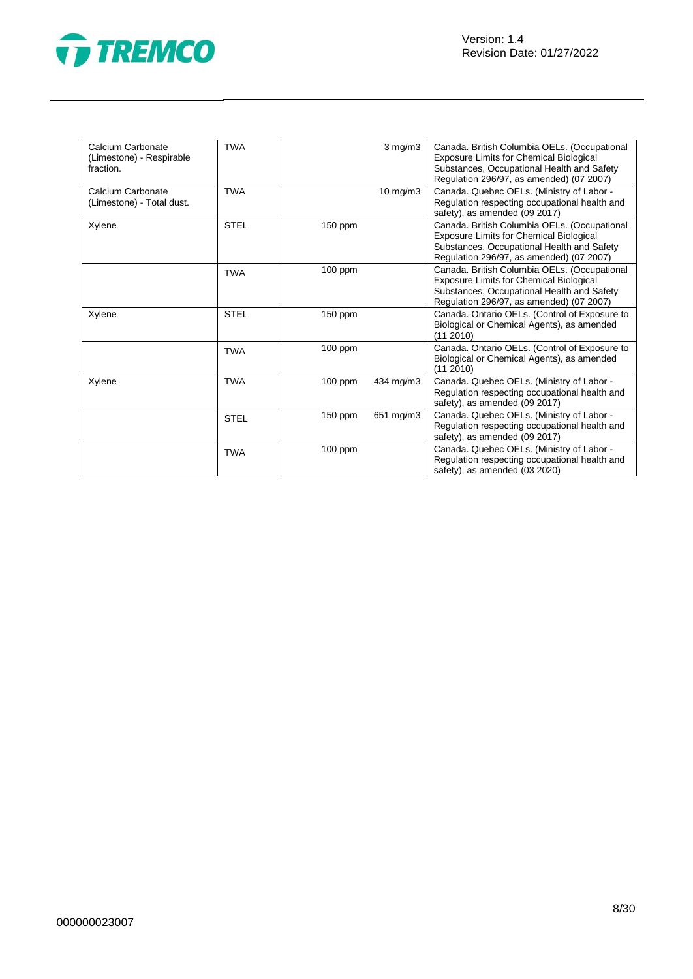



| Calcium Carbonate<br>(Limestone) - Respirable<br>fraction. | <b>TWA</b>  |           | $3$ mg/m $3$ | Canada. British Columbia OELs. (Occupational<br>Exposure Limits for Chemical Biological<br>Substances, Occupational Health and Safety<br>Regulation 296/97, as amended) (07 2007) |
|------------------------------------------------------------|-------------|-----------|--------------|-----------------------------------------------------------------------------------------------------------------------------------------------------------------------------------|
| Calcium Carbonate<br>(Limestone) - Total dust.             | <b>TWA</b>  |           | 10 mg/m3     | Canada. Quebec OELs. (Ministry of Labor -<br>Regulation respecting occupational health and<br>safety), as amended (09 2017)                                                       |
| Xylene                                                     | <b>STEL</b> | 150 ppm   |              | Canada. British Columbia OELs. (Occupational<br>Exposure Limits for Chemical Biological<br>Substances, Occupational Health and Safety<br>Regulation 296/97, as amended) (07 2007) |
|                                                            | <b>TWA</b>  | $100$ ppm |              | Canada. British Columbia OELs. (Occupational<br>Exposure Limits for Chemical Biological<br>Substances, Occupational Health and Safety<br>Regulation 296/97, as amended) (07 2007) |
| Xylene                                                     | <b>STEL</b> | 150 ppm   |              | Canada. Ontario OELs. (Control of Exposure to<br>Biological or Chemical Agents), as amended<br>(11 2010)                                                                          |
|                                                            | <b>TWA</b>  | $100$ ppm |              | Canada. Ontario OELs. (Control of Exposure to<br>Biological or Chemical Agents), as amended<br>(11 2010)                                                                          |
| Xylene                                                     | <b>TWA</b>  | $100$ ppm | 434 mg/m3    | Canada. Quebec OELs. (Ministry of Labor -<br>Regulation respecting occupational health and<br>safety), as amended (09 2017)                                                       |
|                                                            | <b>STEL</b> | $150$ ppm | 651 mg/m3    | Canada. Quebec OELs. (Ministry of Labor -<br>Regulation respecting occupational health and<br>safety), as amended (09 2017)                                                       |
|                                                            | <b>TWA</b>  | $100$ ppm |              | Canada. Quebec OELs. (Ministry of Labor -<br>Regulation respecting occupational health and<br>safety), as amended (03 2020)                                                       |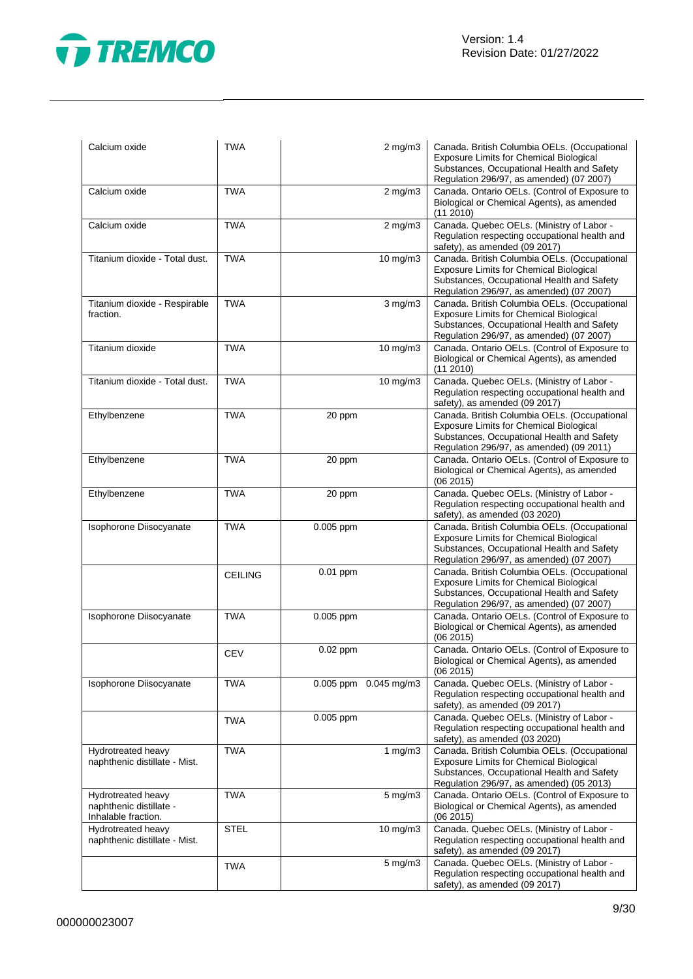

| Calcium oxide                                                        | <b>TWA</b>     | $2$ mg/m $3$          | Canada. British Columbia OELs. (Occupational<br><b>Exposure Limits for Chemical Biological</b><br>Substances, Occupational Health and Safety<br>Regulation 296/97, as amended) (07 2007) |
|----------------------------------------------------------------------|----------------|-----------------------|------------------------------------------------------------------------------------------------------------------------------------------------------------------------------------------|
| Calcium oxide                                                        | <b>TWA</b>     | $2$ mg/m $3$          | Canada. Ontario OELs. (Control of Exposure to<br>Biological or Chemical Agents), as amended<br>(112010)                                                                                  |
| Calcium oxide                                                        | <b>TWA</b>     | $2$ mg/m $3$          | Canada. Quebec OELs. (Ministry of Labor -<br>Regulation respecting occupational health and<br>safety), as amended (09 2017)                                                              |
| Titanium dioxide - Total dust.                                       | <b>TWA</b>     | 10 mg/m3              | Canada. British Columbia OELs. (Occupational<br><b>Exposure Limits for Chemical Biological</b><br>Substances, Occupational Health and Safety<br>Regulation 296/97, as amended) (07 2007) |
| Titanium dioxide - Respirable<br>fraction.                           | <b>TWA</b>     | $3$ mg/m $3$          | Canada. British Columbia OELs. (Occupational<br>Exposure Limits for Chemical Biological<br>Substances, Occupational Health and Safety<br>Regulation 296/97, as amended) (07 2007)        |
| Titanium dioxide                                                     | <b>TWA</b>     | $10 \text{ mg/m}$     | Canada. Ontario OELs. (Control of Exposure to<br>Biological or Chemical Agents), as amended<br>(11 2010)                                                                                 |
| Titanium dioxide - Total dust.                                       | <b>TWA</b>     | 10 mg/m3              | Canada. Quebec OELs. (Ministry of Labor -<br>Regulation respecting occupational health and<br>safety), as amended (09 2017)                                                              |
| Ethylbenzene                                                         | <b>TWA</b>     | 20 ppm                | Canada. British Columbia OELs. (Occupational<br><b>Exposure Limits for Chemical Biological</b><br>Substances, Occupational Health and Safety<br>Regulation 296/97, as amended) (09 2011) |
| Ethylbenzene                                                         | <b>TWA</b>     | 20 ppm                | Canada. Ontario OELs. (Control of Exposure to<br>Biological or Chemical Agents), as amended<br>(06 2015)                                                                                 |
| Ethylbenzene                                                         | <b>TWA</b>     | 20 ppm                | Canada. Quebec OELs. (Ministry of Labor -<br>Regulation respecting occupational health and<br>safety), as amended (03 2020)                                                              |
| Isophorone Diisocyanate                                              | <b>TWA</b>     | 0.005 ppm             | Canada. British Columbia OELs. (Occupational<br><b>Exposure Limits for Chemical Biological</b><br>Substances, Occupational Health and Safety<br>Regulation 296/97, as amended) (07 2007) |
|                                                                      | <b>CEILING</b> | 0.01 ppm              | Canada. British Columbia OELs. (Occupational<br><b>Exposure Limits for Chemical Biological</b><br>Substances, Occupational Health and Safety<br>Regulation 296/97, as amended) (07 2007) |
| Isophorone Diisocyanate                                              | <b>TWA</b>     | 0.005 ppm             | Canada. Ontario OELs. (Control of Exposure to<br>Biological or Chemical Agents), as amended<br>(06 2015)                                                                                 |
|                                                                      | <b>CEV</b>     | 0.02 ppm              | Canada. Ontario OELs. (Control of Exposure to<br>Biological or Chemical Agents), as amended<br>(06 2015)                                                                                 |
| Isophorone Diisocyanate                                              | <b>TWA</b>     | 0.005 ppm 0.045 mg/m3 | Canada. Quebec OELs. (Ministry of Labor -<br>Regulation respecting occupational health and<br>safety), as amended (09 2017)                                                              |
|                                                                      | <b>TWA</b>     | 0.005 ppm             | Canada. Quebec OELs. (Ministry of Labor -<br>Regulation respecting occupational health and<br>safety), as amended (03 2020)                                                              |
| Hydrotreated heavy<br>naphthenic distillate - Mist.                  | <b>TWA</b>     | 1 mg/m3               | Canada. British Columbia OELs. (Occupational<br><b>Exposure Limits for Chemical Biological</b><br>Substances, Occupational Health and Safety<br>Regulation 296/97, as amended) (05 2013) |
| Hydrotreated heavy<br>naphthenic distillate -<br>Inhalable fraction. | <b>TWA</b>     | 5 mg/m3               | Canada. Ontario OELs. (Control of Exposure to<br>Biological or Chemical Agents), as amended<br>(06 2015)                                                                                 |
| Hydrotreated heavy<br>naphthenic distillate - Mist.                  | <b>STEL</b>    | $10 \text{ mg/m}$     | Canada. Quebec OELs. (Ministry of Labor -<br>Regulation respecting occupational health and<br>safety), as amended (09 2017)                                                              |
|                                                                      | <b>TWA</b>     | 5 mg/m3               | Canada. Quebec OELs. (Ministry of Labor -<br>Regulation respecting occupational health and<br>safety), as amended (09 2017)                                                              |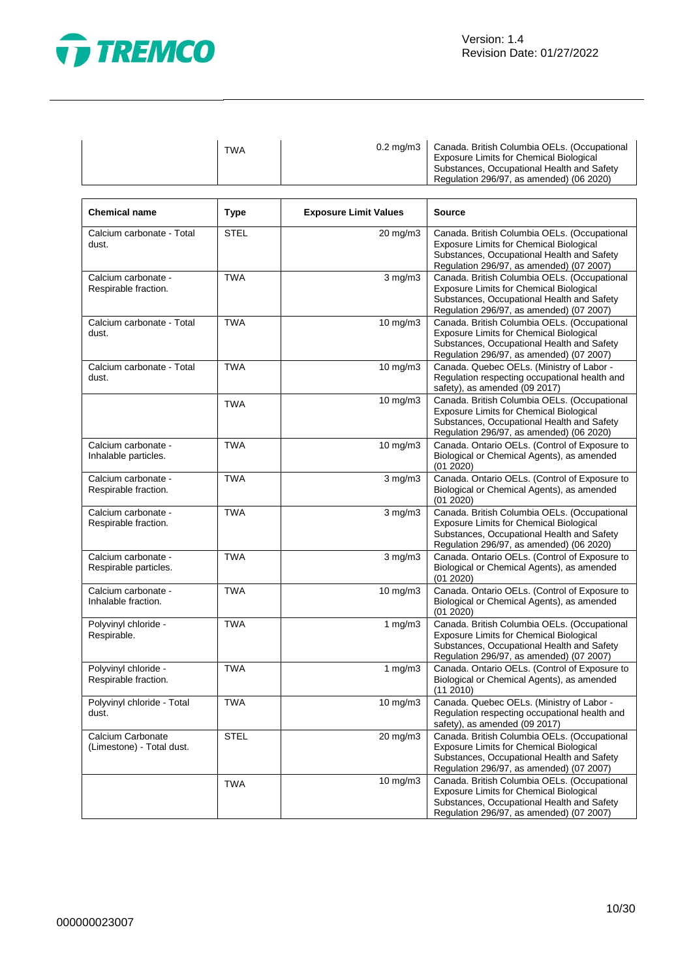

Ī

| <b>TWA</b><br><b>Exposure Limits for Chemical Biological</b><br>Regulation 296/97, as amended) (06 2020) |  | 0.2 mg/m3   Canada. British Columbia OELs. (Occupational<br>Substances, Occupational Health and Safety |
|----------------------------------------------------------------------------------------------------------|--|--------------------------------------------------------------------------------------------------------|
|----------------------------------------------------------------------------------------------------------|--|--------------------------------------------------------------------------------------------------------|

| <b>Chemical name</b>                           | <b>Type</b> | <b>Exposure Limit Values</b> | <b>Source</b>                                                                                                                                                                            |
|------------------------------------------------|-------------|------------------------------|------------------------------------------------------------------------------------------------------------------------------------------------------------------------------------------|
| Calcium carbonate - Total<br>dust.             | <b>STEL</b> | 20 mg/m3                     | Canada. British Columbia OELs. (Occupational<br><b>Exposure Limits for Chemical Biological</b><br>Substances, Occupational Health and Safety<br>Regulation 296/97, as amended) (07 2007) |
| Calcium carbonate -<br>Respirable fraction.    | <b>TWA</b>  | $3$ mg/m $3$                 | Canada. British Columbia OELs. (Occupational<br><b>Exposure Limits for Chemical Biological</b><br>Substances, Occupational Health and Safety<br>Regulation 296/97, as amended) (07 2007) |
| Calcium carbonate - Total<br>dust.             | <b>TWA</b>  | 10 mg/m3                     | Canada. British Columbia OELs. (Occupational<br><b>Exposure Limits for Chemical Biological</b><br>Substances, Occupational Health and Safety<br>Regulation 296/97, as amended) (07 2007) |
| Calcium carbonate - Total<br>dust.             | <b>TWA</b>  | 10 mg/m3                     | Canada. Quebec OELs. (Ministry of Labor -<br>Regulation respecting occupational health and<br>safety), as amended (09 2017)                                                              |
|                                                | <b>TWA</b>  | $10 \text{ mg/m}$            | Canada. British Columbia OELs. (Occupational<br><b>Exposure Limits for Chemical Biological</b><br>Substances, Occupational Health and Safety<br>Regulation 296/97, as amended) (06 2020) |
| Calcium carbonate -<br>Inhalable particles.    | <b>TWA</b>  | 10 mg/m3                     | Canada. Ontario OELs. (Control of Exposure to<br>Biological or Chemical Agents), as amended<br>(01 2020)                                                                                 |
| Calcium carbonate -<br>Respirable fraction.    | <b>TWA</b>  | $3$ mg/m $3$                 | Canada. Ontario OELs. (Control of Exposure to<br>Biological or Chemical Agents), as amended<br>(01 2020)                                                                                 |
| Calcium carbonate -<br>Respirable fraction.    | <b>TWA</b>  | $3$ mg/m $3$                 | Canada. British Columbia OELs. (Occupational<br><b>Exposure Limits for Chemical Biological</b><br>Substances, Occupational Health and Safety<br>Regulation 296/97, as amended) (06 2020) |
| Calcium carbonate -<br>Respirable particles.   | <b>TWA</b>  | $3$ mg/m $3$                 | Canada. Ontario OELs. (Control of Exposure to<br>Biological or Chemical Agents), as amended<br>(01 2020)                                                                                 |
| Calcium carbonate -<br>Inhalable fraction.     | <b>TWA</b>  | 10 mg/m3                     | Canada. Ontario OELs. (Control of Exposure to<br>Biological or Chemical Agents), as amended<br>(01 2020)                                                                                 |
| Polyvinyl chloride -<br>Respirable.            | <b>TWA</b>  | 1 $mg/m3$                    | Canada. British Columbia OELs. (Occupational<br><b>Exposure Limits for Chemical Biological</b><br>Substances, Occupational Health and Safety<br>Regulation 296/97, as amended) (07 2007) |
| Polyvinyl chloride -<br>Respirable fraction.   | <b>TWA</b>  | 1 $mg/m3$                    | Canada. Ontario OELs. (Control of Exposure to<br>Biological or Chemical Agents), as amended<br>(112010)                                                                                  |
| Polyvinyl chloride - Total<br>dust.            | <b>TWA</b>  | 10 mg/m3                     | Canada. Quebec OELs. (Ministry of Labor -<br>Regulation respecting occupational health and<br>safety), as amended (09 2017)                                                              |
| Calcium Carbonate<br>(Limestone) - Total dust. | <b>STEL</b> | 20 mg/m3                     | Canada. British Columbia OELs. (Occupational<br><b>Exposure Limits for Chemical Biological</b><br>Substances, Occupational Health and Safety<br>Regulation 296/97, as amended) (07 2007) |
|                                                | <b>TWA</b>  | 10 mg/m3                     | Canada. British Columbia OELs. (Occupational<br><b>Exposure Limits for Chemical Biological</b><br>Substances, Occupational Health and Safety<br>Regulation 296/97, as amended) (07 2007) |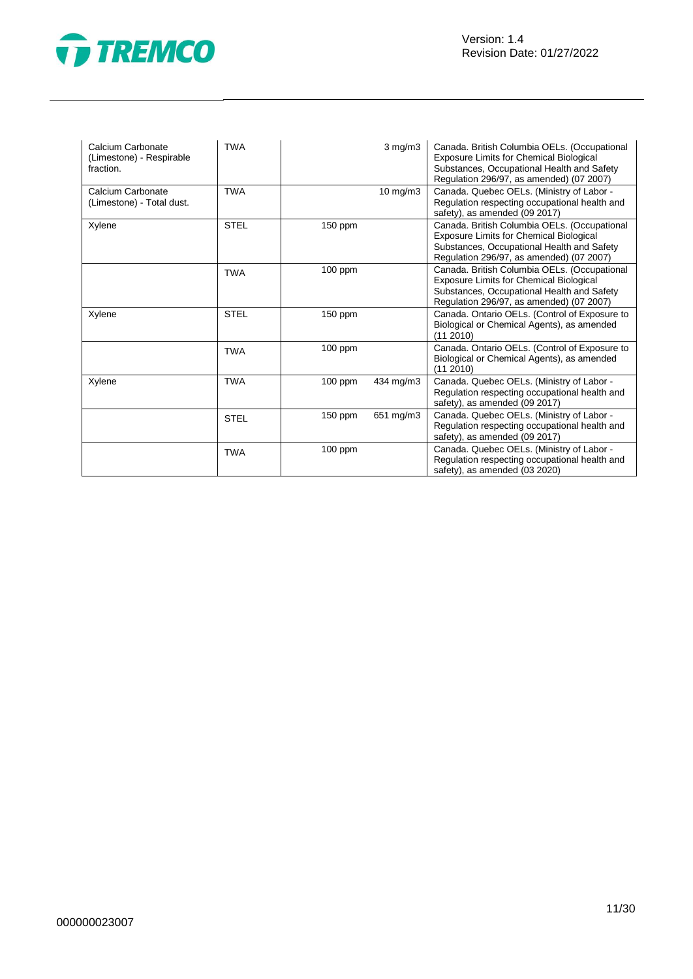

| Calcium Carbonate<br>(Limestone) - Respirable<br>fraction. | <b>TWA</b>  |           | $3$ mg/m $3$ | Canada. British Columbia OELs. (Occupational<br>Exposure Limits for Chemical Biological<br>Substances, Occupational Health and Safety<br>Regulation 296/97, as amended) (07 2007) |
|------------------------------------------------------------|-------------|-----------|--------------|-----------------------------------------------------------------------------------------------------------------------------------------------------------------------------------|
| Calcium Carbonate<br>(Limestone) - Total dust.             | <b>TWA</b>  |           | 10 mg/m3     | Canada. Quebec OELs. (Ministry of Labor -<br>Regulation respecting occupational health and<br>safety), as amended (09 2017)                                                       |
| Xylene                                                     | <b>STEL</b> | 150 ppm   |              | Canada. British Columbia OELs. (Occupational<br>Exposure Limits for Chemical Biological<br>Substances, Occupational Health and Safety<br>Regulation 296/97, as amended) (07 2007) |
|                                                            | <b>TWA</b>  | $100$ ppm |              | Canada. British Columbia OELs. (Occupational<br>Exposure Limits for Chemical Biological<br>Substances, Occupational Health and Safety<br>Regulation 296/97, as amended) (07 2007) |
| Xylene                                                     | <b>STEL</b> | $150$ ppm |              | Canada. Ontario OELs. (Control of Exposure to<br>Biological or Chemical Agents), as amended<br>(11 2010)                                                                          |
|                                                            | <b>TWA</b>  | $100$ ppm |              | Canada. Ontario OELs. (Control of Exposure to<br>Biological or Chemical Agents), as amended<br>(11 2010)                                                                          |
| Xylene                                                     | <b>TWA</b>  | 100 ppm   | 434 mg/m3    | Canada. Quebec OELs. (Ministry of Labor -<br>Regulation respecting occupational health and<br>safety), as amended (09 2017)                                                       |
|                                                            | <b>STEL</b> | $150$ ppm | 651 mg/m3    | Canada. Quebec OELs. (Ministry of Labor -<br>Regulation respecting occupational health and<br>safety), as amended (09 2017)                                                       |
|                                                            | <b>TWA</b>  | $100$ ppm |              | Canada. Quebec OELs. (Ministry of Labor -<br>Regulation respecting occupational health and<br>safety), as amended (03 2020)                                                       |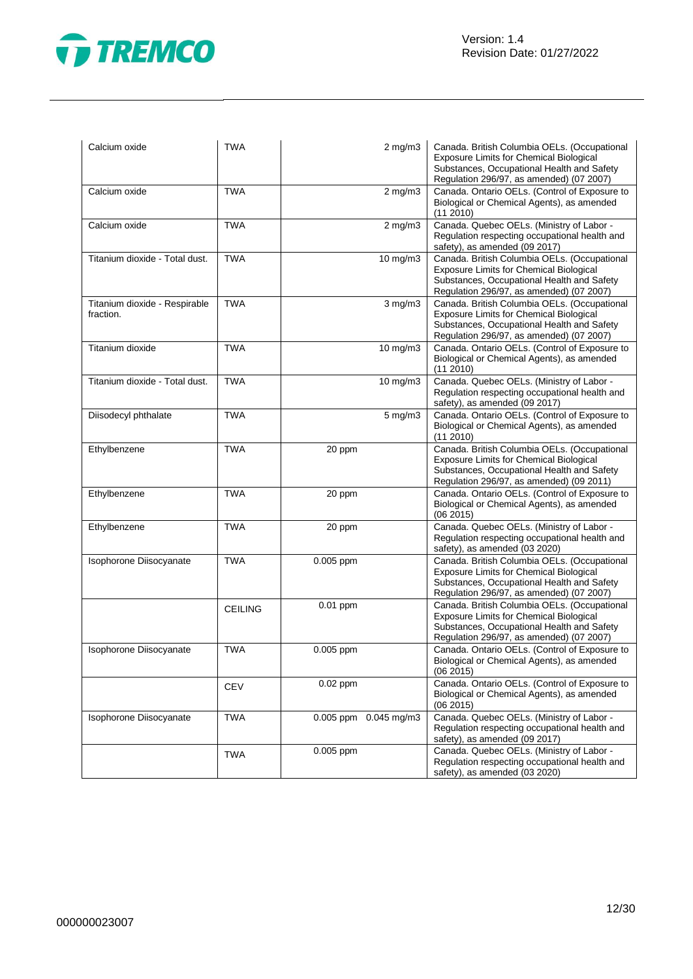

| Calcium oxide                              | <b>TWA</b>     |           | $2$ mg/m $3$          | Canada. British Columbia OELs. (Occupational<br><b>Exposure Limits for Chemical Biological</b><br>Substances, Occupational Health and Safety<br>Regulation 296/97, as amended) (07 2007) |
|--------------------------------------------|----------------|-----------|-----------------------|------------------------------------------------------------------------------------------------------------------------------------------------------------------------------------------|
| Calcium oxide                              | <b>TWA</b>     |           | $2$ mg/m $3$          | Canada. Ontario OELs. (Control of Exposure to<br>Biological or Chemical Agents), as amended<br>(11 2010)                                                                                 |
| Calcium oxide                              | <b>TWA</b>     |           | $2$ mg/m $3$          | Canada. Quebec OELs. (Ministry of Labor -<br>Regulation respecting occupational health and<br>safety), as amended (09 2017)                                                              |
| Titanium dioxide - Total dust.             | <b>TWA</b>     |           | 10 mg/m3              | Canada. British Columbia OELs. (Occupational<br><b>Exposure Limits for Chemical Biological</b><br>Substances, Occupational Health and Safety<br>Regulation 296/97, as amended) (07 2007) |
| Titanium dioxide - Respirable<br>fraction. | <b>TWA</b>     |           | $3$ mg/m $3$          | Canada. British Columbia OELs. (Occupational<br><b>Exposure Limits for Chemical Biological</b><br>Substances, Occupational Health and Safety<br>Regulation 296/97, as amended) (07 2007) |
| Titanium dioxide                           | <b>TWA</b>     |           | $10$ mg/m $3$         | Canada. Ontario OELs. (Control of Exposure to<br>Biological or Chemical Agents), as amended<br>(11 2010)                                                                                 |
| Titanium dioxide - Total dust.             | <b>TWA</b>     |           | 10 mg/m3              | Canada. Quebec OELs. (Ministry of Labor -<br>Regulation respecting occupational health and<br>safety), as amended (09 2017)                                                              |
| Diisodecyl phthalate                       | <b>TWA</b>     |           | $5$ mg/m $3$          | Canada. Ontario OELs. (Control of Exposure to<br>Biological or Chemical Agents), as amended<br>(11 2010)                                                                                 |
| Ethylbenzene                               | <b>TWA</b>     | 20 ppm    |                       | Canada. British Columbia OELs. (Occupational<br>Exposure Limits for Chemical Biological<br>Substances, Occupational Health and Safety<br>Regulation 296/97, as amended) (09 2011)        |
| Ethylbenzene                               | <b>TWA</b>     | 20 ppm    |                       | Canada. Ontario OELs. (Control of Exposure to<br>Biological or Chemical Agents), as amended<br>(062015)                                                                                  |
| Ethylbenzene                               | <b>TWA</b>     | 20 ppm    |                       | Canada. Quebec OELs. (Ministry of Labor -<br>Regulation respecting occupational health and<br>safety), as amended (03 2020)                                                              |
| Isophorone Diisocyanate                    | <b>TWA</b>     | 0.005 ppm |                       | Canada. British Columbia OELs. (Occupational<br>Exposure Limits for Chemical Biological<br>Substances, Occupational Health and Safety<br>Regulation 296/97, as amended) (07 2007)        |
|                                            | <b>CEILING</b> | 0.01 ppm  |                       | Canada. British Columbia OELs. (Occupational<br>Exposure Limits for Chemical Biological<br>Substances, Occupational Health and Safety<br>Regulation 296/97, as amended) (07 2007)        |
| Isophorone Diisocyanate                    | <b>TWA</b>     | 0.005 ppm |                       | Canada. Ontario OELs. (Control of Exposure to<br>Biological or Chemical Agents), as amended<br>(06 2015)                                                                                 |
|                                            | <b>CEV</b>     | 0.02 ppm  |                       | Canada. Ontario OELs. (Control of Exposure to<br>Biological or Chemical Agents), as amended<br>(062015)                                                                                  |
| Isophorone Diisocyanate                    | <b>TWA</b>     |           | 0.005 ppm 0.045 mg/m3 | Canada. Quebec OELs. (Ministry of Labor -<br>Regulation respecting occupational health and<br>safety), as amended (09 2017)                                                              |
|                                            | <b>TWA</b>     | 0.005 ppm |                       | Canada. Quebec OELs. (Ministry of Labor -<br>Regulation respecting occupational health and<br>safety), as amended (03 2020)                                                              |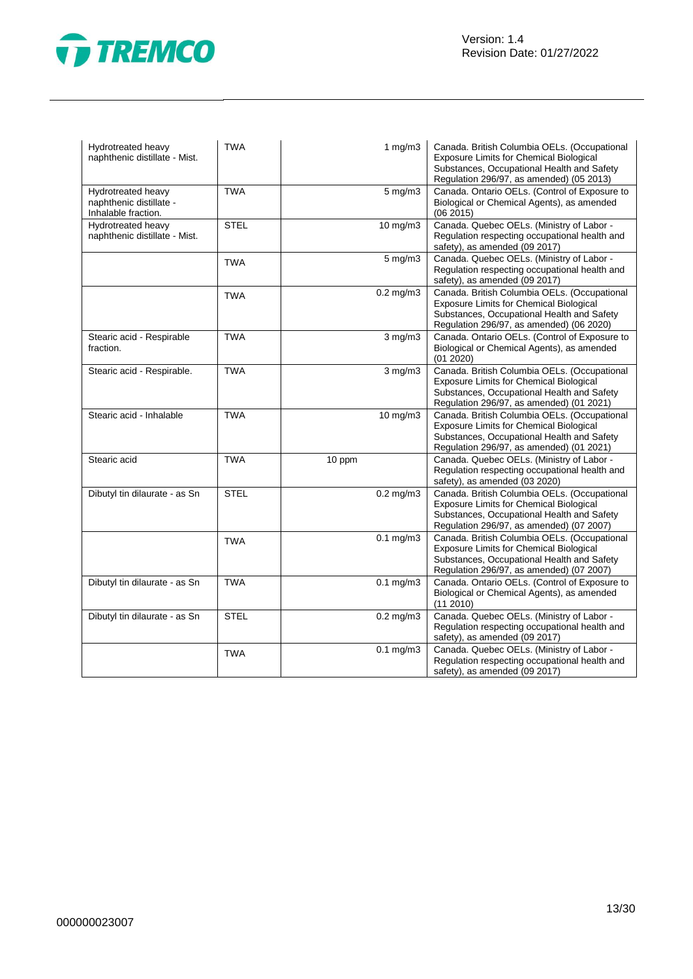

| Hydrotreated heavy<br>naphthenic distillate - Mist.                  | <b>TWA</b>  | 1 $mg/m3$              | Canada. British Columbia OELs. (Occupational<br><b>Exposure Limits for Chemical Biological</b><br>Substances, Occupational Health and Safety<br>Regulation 296/97, as amended) (05 2013) |
|----------------------------------------------------------------------|-------------|------------------------|------------------------------------------------------------------------------------------------------------------------------------------------------------------------------------------|
| Hydrotreated heavy<br>naphthenic distillate -<br>Inhalable fraction. | <b>TWA</b>  | $5$ mg/m $3$           | Canada. Ontario OELs. (Control of Exposure to<br>Biological or Chemical Agents), as amended<br>(06 2015)                                                                                 |
| Hydrotreated heavy<br>naphthenic distillate - Mist.                  | <b>STEL</b> | 10 mg/m3               | Canada. Quebec OELs. (Ministry of Labor -<br>Regulation respecting occupational health and<br>safety), as amended (09 2017)                                                              |
|                                                                      | <b>TWA</b>  | 5 mg/m3                | Canada. Quebec OELs. (Ministry of Labor -<br>Regulation respecting occupational health and<br>safety), as amended (09 2017)                                                              |
|                                                                      | <b>TWA</b>  | $0.2$ mg/m $3$         | Canada. British Columbia OELs. (Occupational<br><b>Exposure Limits for Chemical Biological</b><br>Substances, Occupational Health and Safety<br>Regulation 296/97, as amended) (06 2020) |
| Stearic acid - Respirable<br>fraction.                               | <b>TWA</b>  | $3$ mg/m $3$           | Canada. Ontario OELs. (Control of Exposure to<br>Biological or Chemical Agents), as amended<br>(01 2020)                                                                                 |
| Stearic acid - Respirable.                                           | <b>TWA</b>  | $3$ mg/m $3$           | Canada. British Columbia OELs. (Occupational<br><b>Exposure Limits for Chemical Biological</b><br>Substances, Occupational Health and Safety<br>Regulation 296/97, as amended) (01 2021) |
| Stearic acid - Inhalable                                             | <b>TWA</b>  | 10 mg/m3               | Canada. British Columbia OELs. (Occupational<br><b>Exposure Limits for Chemical Biological</b><br>Substances, Occupational Health and Safety<br>Regulation 296/97, as amended) (01 2021) |
| Stearic acid                                                         | <b>TWA</b>  | 10 ppm                 | Canada. Quebec OELs. (Ministry of Labor -<br>Regulation respecting occupational health and<br>safety), as amended (03 2020)                                                              |
| Dibutyl tin dilaurate - as Sn                                        | <b>STEL</b> | $0.2$ mg/m $3$         | Canada. British Columbia OELs. (Occupational<br><b>Exposure Limits for Chemical Biological</b><br>Substances, Occupational Health and Safety<br>Regulation 296/97, as amended) (07 2007) |
|                                                                      | <b>TWA</b>  | $\overline{0.1}$ mg/m3 | Canada. British Columbia OELs. (Occupational<br>Exposure Limits for Chemical Biological<br>Substances, Occupational Health and Safety<br>Regulation 296/97, as amended) (07 2007)        |
| Dibutyl tin dilaurate - as Sn                                        | <b>TWA</b>  | $0.1$ mg/m $3$         | Canada. Ontario OELs. (Control of Exposure to<br>Biological or Chemical Agents), as amended<br>$(11\ 2010)$                                                                              |
| Dibutyl tin dilaurate - as Sn                                        | <b>STEL</b> | $0.2$ mg/m $3$         | Canada. Quebec OELs. (Ministry of Labor -<br>Regulation respecting occupational health and<br>safety), as amended (09 2017)                                                              |
|                                                                      | <b>TWA</b>  | $0.1$ mg/m $3$         | Canada. Quebec OELs. (Ministry of Labor -<br>Regulation respecting occupational health and<br>safety), as amended (09 2017)                                                              |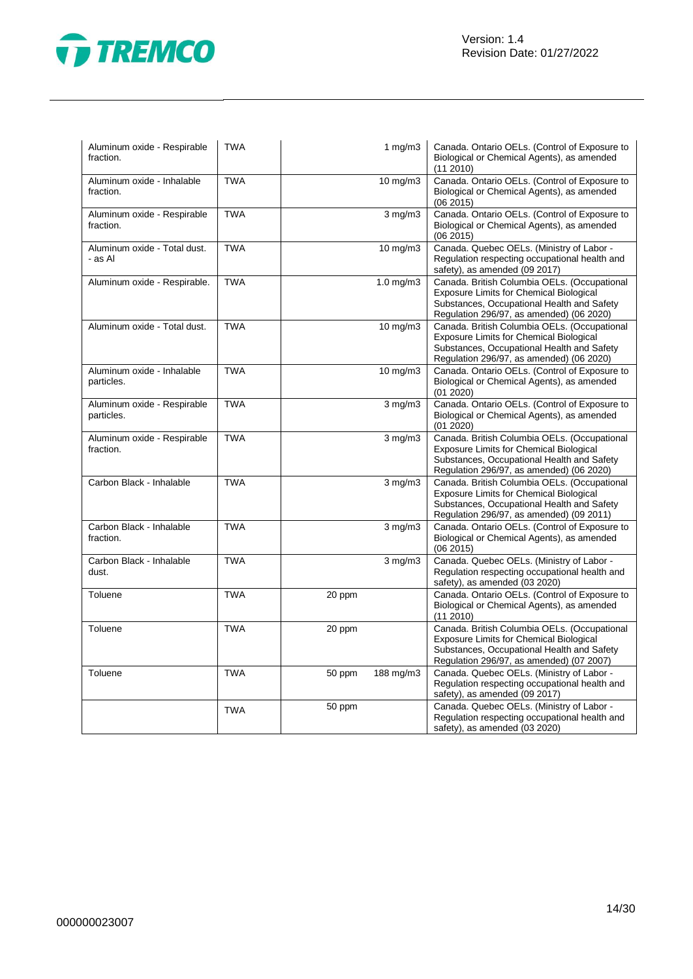

| Aluminum oxide - Respirable<br>fraction.  | <b>TWA</b> |        | 1 $mg/m3$             | Canada. Ontario OELs. (Control of Exposure to<br>Biological or Chemical Agents), as amended<br>(11 2010)                                                                                 |
|-------------------------------------------|------------|--------|-----------------------|------------------------------------------------------------------------------------------------------------------------------------------------------------------------------------------|
| Aluminum oxide - Inhalable<br>fraction.   | <b>TWA</b> |        | 10 mg/m3              | Canada. Ontario OELs. (Control of Exposure to<br>Biological or Chemical Agents), as amended<br>(062015)                                                                                  |
| Aluminum oxide - Respirable<br>fraction.  | <b>TWA</b> |        | $3$ mg/m $3$          | Canada. Ontario OELs. (Control of Exposure to<br>Biological or Chemical Agents), as amended<br>(06 2015)                                                                                 |
| Aluminum oxide - Total dust.<br>- as Al   | <b>TWA</b> |        | $10$ mg/m $3$         | Canada. Quebec OELs. (Ministry of Labor -<br>Regulation respecting occupational health and<br>safety), as amended (09 2017)                                                              |
| Aluminum oxide - Respirable.              | <b>TWA</b> |        | 1.0 mg/m3             | Canada. British Columbia OELs. (Occupational<br>Exposure Limits for Chemical Biological<br>Substances, Occupational Health and Safety<br>Regulation 296/97, as amended) (06 2020)        |
| Aluminum oxide - Total dust.              | <b>TWA</b> |        | $\overline{10}$ mg/m3 | Canada. British Columbia OELs. (Occupational<br><b>Exposure Limits for Chemical Biological</b><br>Substances, Occupational Health and Safety<br>Regulation 296/97, as amended) (06 2020) |
| Aluminum oxide - Inhalable<br>particles.  | <b>TWA</b> |        | 10 mg/m3              | Canada. Ontario OELs. (Control of Exposure to<br>Biological or Chemical Agents), as amended<br>(01 2020)                                                                                 |
| Aluminum oxide - Respirable<br>particles. | <b>TWA</b> |        | $3$ mg/m $3$          | Canada. Ontario OELs. (Control of Exposure to<br>Biological or Chemical Agents), as amended<br>(01 2020)                                                                                 |
| Aluminum oxide - Respirable<br>fraction.  | <b>TWA</b> |        | $3$ mg/m $3$          | Canada. British Columbia OELs. (Occupational<br>Exposure Limits for Chemical Biological<br>Substances, Occupational Health and Safety<br>Regulation 296/97, as amended) (06 2020)        |
| Carbon Black - Inhalable                  | <b>TWA</b> |        | $3$ mg/m $3$          | Canada. British Columbia OELs. (Occupational<br>Exposure Limits for Chemical Biological<br>Substances, Occupational Health and Safety<br>Regulation 296/97, as amended) (09 2011)        |
| Carbon Black - Inhalable<br>fraction.     | <b>TWA</b> |        | $3$ mg/m $3$          | Canada. Ontario OELs. (Control of Exposure to<br>Biological or Chemical Agents), as amended<br>(062015)                                                                                  |
| Carbon Black - Inhalable<br>dust.         | <b>TWA</b> |        | $3$ mg/m $3$          | Canada. Quebec OELs. (Ministry of Labor -<br>Regulation respecting occupational health and<br>safety), as amended (03 2020)                                                              |
| Toluene                                   | <b>TWA</b> | 20 ppm |                       | Canada. Ontario OELs. (Control of Exposure to<br>Biological or Chemical Agents), as amended<br>(11 2010)                                                                                 |
| Toluene                                   | <b>TWA</b> | 20 ppm |                       | Canada. British Columbia OELs. (Occupational<br><b>Exposure Limits for Chemical Biological</b><br>Substances, Occupational Health and Safety<br>Regulation 296/97, as amended) (07 2007) |
| Toluene                                   | <b>TWA</b> | 50 ppm | 188 mg/m3             | Canada. Quebec OELs. (Ministry of Labor -<br>Regulation respecting occupational health and<br>safety), as amended (09 2017)                                                              |
|                                           | <b>TWA</b> | 50 ppm |                       | Canada. Quebec OELs. (Ministry of Labor -<br>Regulation respecting occupational health and<br>safety), as amended (03 2020)                                                              |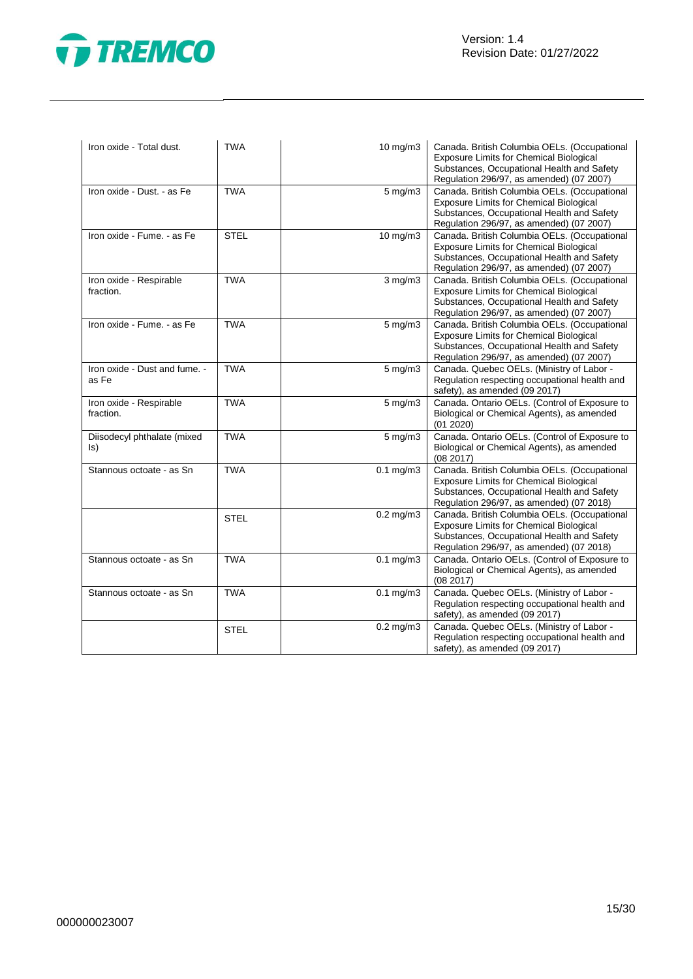

| Iron oxide - Total dust.               | <b>TWA</b>  | 10 mg/m3               | Canada. British Columbia OELs. (Occupational<br>Exposure Limits for Chemical Biological<br>Substances, Occupational Health and Safety<br>Regulation 296/97, as amended) (07 2007)        |
|----------------------------------------|-------------|------------------------|------------------------------------------------------------------------------------------------------------------------------------------------------------------------------------------|
| Iron oxide - Dust. - as Fe             | <b>TWA</b>  | $5 \text{ mg/m}$       | Canada. British Columbia OELs. (Occupational<br><b>Exposure Limits for Chemical Biological</b><br>Substances, Occupational Health and Safety<br>Regulation 296/97, as amended) (07 2007) |
| Iron oxide - Fume. - as Fe             | <b>STEL</b> | 10 mg/m3               | Canada. British Columbia OELs. (Occupational<br>Exposure Limits for Chemical Biological<br>Substances, Occupational Health and Safety<br>Regulation 296/97, as amended) (07 2007)        |
| Iron oxide - Respirable<br>fraction.   | <b>TWA</b>  | $3$ mg/m $3$           | Canada. British Columbia OELs. (Occupational<br>Exposure Limits for Chemical Biological<br>Substances, Occupational Health and Safety<br>Regulation 296/97, as amended) (07 2007)        |
| Iron oxide - Fume. - as Fe             | <b>TWA</b>  | $5 \text{ mg/m}$       | Canada. British Columbia OELs. (Occupational<br><b>Exposure Limits for Chemical Biological</b><br>Substances, Occupational Health and Safety<br>Regulation 296/97, as amended) (07 2007) |
| Iron oxide - Dust and fume. -<br>as Fe | <b>TWA</b>  | $5$ mg/m $3$           | Canada. Quebec OELs. (Ministry of Labor -<br>Regulation respecting occupational health and<br>safety), as amended (09 2017)                                                              |
| Iron oxide - Respirable<br>fraction.   | <b>TWA</b>  | 5 mg/m3                | Canada. Ontario OELs. (Control of Exposure to<br>Biological or Chemical Agents), as amended<br>(01 2020)                                                                                 |
| Diisodecyl phthalate (mixed<br>ls)     | <b>TWA</b>  | $5$ mg/m $3$           | Canada. Ontario OELs. (Control of Exposure to<br>Biological or Chemical Agents), as amended<br>(08 2017)                                                                                 |
| Stannous octoate - as Sn               | <b>TWA</b>  | $\overline{0.1}$ mg/m3 | Canada. British Columbia OELs. (Occupational<br>Exposure Limits for Chemical Biological<br>Substances, Occupational Health and Safety<br>Regulation 296/97, as amended) (07 2018)        |
|                                        | <b>STEL</b> | $0.2 \text{ mg/m}$ 3   | Canada. British Columbia OELs. (Occupational<br><b>Exposure Limits for Chemical Biological</b><br>Substances, Occupational Health and Safety<br>Regulation 296/97, as amended) (07 2018) |
| Stannous octoate - as Sn               | <b>TWA</b>  | $0.1$ mg/m $3$         | Canada. Ontario OELs. (Control of Exposure to<br>Biological or Chemical Agents), as amended<br>(08 2017)                                                                                 |
| Stannous octoate - as Sn               | <b>TWA</b>  | $0.1$ mg/m $3$         | Canada. Quebec OELs. (Ministry of Labor -<br>Regulation respecting occupational health and<br>safety), as amended (09 2017)                                                              |
|                                        | <b>STEL</b> | $0.2$ mg/m $3$         | Canada. Quebec OELs. (Ministry of Labor -<br>Regulation respecting occupational health and<br>safety), as amended (09 2017)                                                              |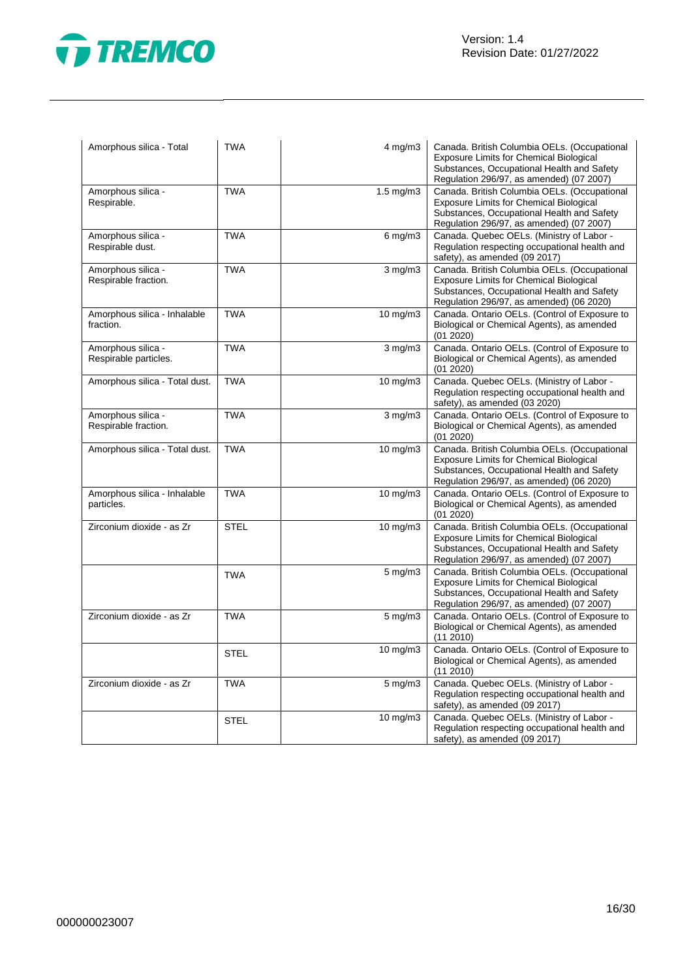

| Amorphous silica - Total                    | <b>TWA</b>  | $4$ mg/m $3$      | Canada. British Columbia OELs. (Occupational<br><b>Exposure Limits for Chemical Biological</b><br>Substances, Occupational Health and Safety<br>Regulation 296/97, as amended) (07 2007) |
|---------------------------------------------|-------------|-------------------|------------------------------------------------------------------------------------------------------------------------------------------------------------------------------------------|
| Amorphous silica -<br>Respirable.           | <b>TWA</b>  | $1.5$ mg/m $3$    | Canada. British Columbia OELs. (Occupational<br><b>Exposure Limits for Chemical Biological</b><br>Substances, Occupational Health and Safety<br>Regulation 296/97, as amended) (07 2007) |
| Amorphous silica -<br>Respirable dust.      | <b>TWA</b>  | $6$ mg/m $3$      | Canada. Quebec OELs. (Ministry of Labor -<br>Regulation respecting occupational health and<br>safety), as amended (09 2017)                                                              |
| Amorphous silica -<br>Respirable fraction.  | <b>TWA</b>  | $3$ mg/m $3$      | Canada. British Columbia OELs. (Occupational<br><b>Exposure Limits for Chemical Biological</b><br>Substances, Occupational Health and Safety<br>Regulation 296/97, as amended) (06 2020) |
| Amorphous silica - Inhalable<br>fraction.   | <b>TWA</b>  | $10$ mg/m $3$     | Canada. Ontario OELs. (Control of Exposure to<br>Biological or Chemical Agents), as amended<br>(01 2020)                                                                                 |
| Amorphous silica -<br>Respirable particles. | <b>TWA</b>  | $3$ mg/m $3$      | Canada. Ontario OELs. (Control of Exposure to<br>Biological or Chemical Agents), as amended<br>(01 2020)                                                                                 |
| Amorphous silica - Total dust.              | <b>TWA</b>  | $10 \text{ mg/m}$ | Canada. Quebec OELs. (Ministry of Labor -<br>Regulation respecting occupational health and<br>safety), as amended (03 2020)                                                              |
| Amorphous silica -<br>Respirable fraction.  | <b>TWA</b>  | $3$ mg/m $3$      | Canada. Ontario OELs. (Control of Exposure to<br>Biological or Chemical Agents), as amended<br>(01 2020)                                                                                 |
| Amorphous silica - Total dust.              | <b>TWA</b>  | $10 \text{ mg/m}$ | Canada. British Columbia OELs. (Occupational<br><b>Exposure Limits for Chemical Biological</b><br>Substances, Occupational Health and Safety<br>Regulation 296/97, as amended) (06 2020) |
| Amorphous silica - Inhalable<br>particles.  | <b>TWA</b>  | $10 \text{ mg/m}$ | Canada. Ontario OELs. (Control of Exposure to<br>Biological or Chemical Agents), as amended<br>(01 2020)                                                                                 |
| Zirconium dioxide - as Zr                   | <b>STEL</b> | 10 mg/m3          | Canada. British Columbia OELs. (Occupational<br>Exposure Limits for Chemical Biological<br>Substances, Occupational Health and Safety<br>Regulation 296/97, as amended) (07 2007)        |
|                                             | <b>TWA</b>  | 5 mg/m3           | Canada. British Columbia OELs. (Occupational<br><b>Exposure Limits for Chemical Biological</b><br>Substances, Occupational Health and Safety<br>Regulation 296/97, as amended) (07 2007) |
| Zirconium dioxide - as Zr                   | <b>TWA</b>  | $5 \text{ mg/m}$  | Canada. Ontario OELs. (Control of Exposure to<br>Biological or Chemical Agents), as amended<br>(11 2010)                                                                                 |
|                                             | <b>STEL</b> | 10 mg/m3          | Canada. Ontario OELs. (Control of Exposure to<br>Biological or Chemical Agents), as amended<br>(11 2010)                                                                                 |
| Zirconium dioxide - as Zr                   | <b>TWA</b>  | $5 \text{ mg/m}$  | Canada. Quebec OELs. (Ministry of Labor -<br>Regulation respecting occupational health and<br>safety), as amended (09 2017)                                                              |
|                                             | <b>STEL</b> | $10 \text{ mg/m}$ | Canada. Quebec OELs. (Ministry of Labor -<br>Regulation respecting occupational health and<br>safety), as amended (09 2017)                                                              |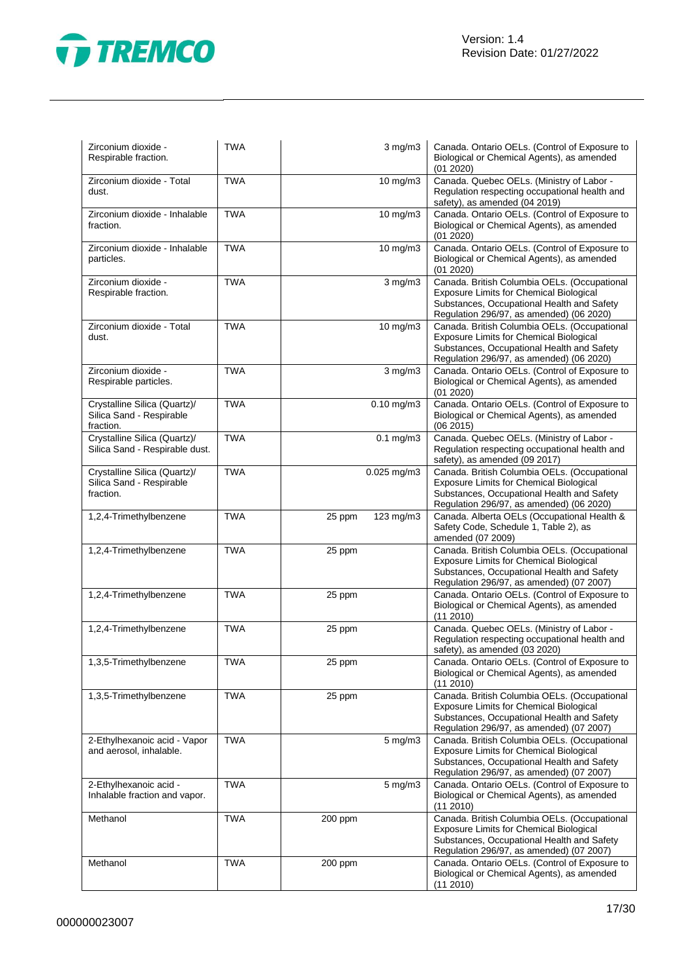

| Zirconium dioxide -<br>Respirable fraction.                           | <b>TWA</b> |         | $3$ mg/m $3$            | Canada. Ontario OELs. (Control of Exposure to<br>Biological or Chemical Agents), as amended<br>(01 2020)                                                                                 |
|-----------------------------------------------------------------------|------------|---------|-------------------------|------------------------------------------------------------------------------------------------------------------------------------------------------------------------------------------|
| Zirconium dioxide - Total<br>dust.                                    | <b>TWA</b> |         | 10 mg/m3                | Canada. Quebec OELs. (Ministry of Labor -<br>Regulation respecting occupational health and<br>safety), as amended (04 2019)                                                              |
| Zirconium dioxide - Inhalable<br>fraction.                            | <b>TWA</b> |         | 10 mg/m3                | Canada. Ontario OELs. (Control of Exposure to<br>Biological or Chemical Agents), as amended<br>(01 2020)                                                                                 |
| Zirconium dioxide - Inhalable<br>particles.                           | <b>TWA</b> |         | $10 \text{ mg/m}$       | Canada. Ontario OELs. (Control of Exposure to<br>Biological or Chemical Agents), as amended<br>(01 2020)                                                                                 |
| Zirconium dioxide -<br>Respirable fraction.                           | <b>TWA</b> |         | $3$ mg/m $3$            | Canada. British Columbia OELs. (Occupational<br><b>Exposure Limits for Chemical Biological</b><br>Substances, Occupational Health and Safety<br>Regulation 296/97, as amended) (06 2020) |
| Zirconium dioxide - Total<br>dust.                                    | <b>TWA</b> |         | 10 mg/m3                | Canada. British Columbia OELs. (Occupational<br><b>Exposure Limits for Chemical Biological</b><br>Substances, Occupational Health and Safety<br>Regulation 296/97, as amended) (06 2020) |
| Zirconium dioxide -<br>Respirable particles.                          | <b>TWA</b> |         | $\overline{3}$ mg/m $3$ | Canada. Ontario OELs. (Control of Exposure to<br>Biological or Chemical Agents), as amended<br>(01 2020)                                                                                 |
| Crystalline Silica (Quartz)/<br>Silica Sand - Respirable<br>fraction. | <b>TWA</b> |         | $\overline{0.10}$ mg/m3 | Canada. Ontario OELs. (Control of Exposure to<br>Biological or Chemical Agents), as amended<br>(062015)                                                                                  |
| Crystalline Silica (Quartz)/<br>Silica Sand - Respirable dust.        | <b>TWA</b> |         | $0.1$ mg/m $3$          | Canada. Quebec OELs. (Ministry of Labor -<br>Regulation respecting occupational health and<br>safety), as amended (09 2017)                                                              |
| Crystalline Silica (Quartz)/<br>Silica Sand - Respirable<br>fraction. | <b>TWA</b> |         | $0.025$ mg/m3           | Canada. British Columbia OELs. (Occupational<br>Exposure Limits for Chemical Biological<br>Substances, Occupational Health and Safety<br>Regulation 296/97, as amended) (06 2020)        |
| 1,2,4-Trimethylbenzene                                                | <b>TWA</b> | 25 ppm  | 123 mg/m3               | Canada. Alberta OELs (Occupational Health &<br>Safety Code, Schedule 1, Table 2), as<br>amended (07 2009)                                                                                |
| 1,2,4-Trimethylbenzene                                                | <b>TWA</b> | 25 ppm  |                         | Canada. British Columbia OELs. (Occupational<br><b>Exposure Limits for Chemical Biological</b><br>Substances, Occupational Health and Safety<br>Regulation 296/97, as amended) (07 2007) |
| 1,2,4-Trimethylbenzene                                                | <b>TWA</b> | 25 ppm  |                         | Canada. Ontario OELs. (Control of Exposure to<br>Biological or Chemical Agents), as amended<br>$(11\ 2010)$                                                                              |
| 1,2,4-Trimethylbenzene                                                | <b>TWA</b> | 25 ppm  |                         | Canada. Quebec OELs. (Ministry of Labor -<br>Regulation respecting occupational health and<br>safety), as amended (03 2020)                                                              |
| 1,3,5-Trimethylbenzene                                                | TWA        | 25 ppm  |                         | Canada. Ontario OELs. (Control of Exposure to<br>Biological or Chemical Agents), as amended<br>(11 2010)                                                                                 |
| 1,3,5-Trimethylbenzene                                                | <b>TWA</b> | 25 ppm  |                         | Canada. British Columbia OELs. (Occupational<br><b>Exposure Limits for Chemical Biological</b><br>Substances, Occupational Health and Safety<br>Regulation 296/97, as amended) (07 2007) |
| 2-Ethylhexanoic acid - Vapor<br>and aerosol, inhalable.               | <b>TWA</b> |         | $5$ mg/m $3$            | Canada. British Columbia OELs. (Occupational<br>Exposure Limits for Chemical Biological<br>Substances, Occupational Health and Safety<br>Regulation 296/97, as amended) (07 2007)        |
| 2-Ethylhexanoic acid -<br>Inhalable fraction and vapor.               | <b>TWA</b> |         | 5 mg/m3                 | Canada. Ontario OELs. (Control of Exposure to<br>Biological or Chemical Agents), as amended<br>(11 2010)                                                                                 |
| Methanol                                                              | <b>TWA</b> | 200 ppm |                         | Canada. British Columbia OELs. (Occupational<br><b>Exposure Limits for Chemical Biological</b><br>Substances, Occupational Health and Safety<br>Regulation 296/97, as amended) (07 2007) |
| Methanol                                                              | <b>TWA</b> | 200 ppm |                         | Canada. Ontario OELs. (Control of Exposure to<br>Biological or Chemical Agents), as amended<br>(11 2010)                                                                                 |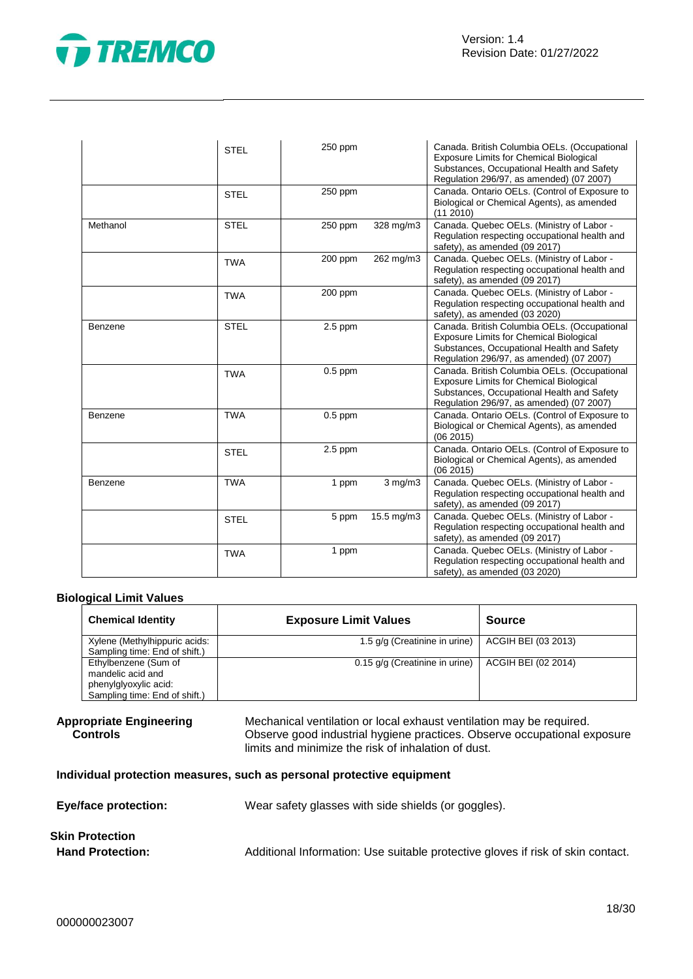

|          | <b>STEL</b> | 250 ppm   |              | Canada. British Columbia OELs. (Occupational<br><b>Exposure Limits for Chemical Biological</b><br>Substances, Occupational Health and Safety<br>Regulation 296/97, as amended) (07 2007) |
|----------|-------------|-----------|--------------|------------------------------------------------------------------------------------------------------------------------------------------------------------------------------------------|
|          | <b>STEL</b> | 250 ppm   |              | Canada. Ontario OELs. (Control of Exposure to<br>Biological or Chemical Agents), as amended<br>(11 2010)                                                                                 |
| Methanol | <b>STEL</b> | 250 ppm   | 328 mg/m3    | Canada. Quebec OELs. (Ministry of Labor -<br>Regulation respecting occupational health and<br>safety), as amended (09 2017)                                                              |
|          | <b>TWA</b>  | 200 ppm   | 262 mg/m3    | Canada. Quebec OELs. (Ministry of Labor -<br>Regulation respecting occupational health and<br>safety), as amended (09 2017)                                                              |
|          | <b>TWA</b>  | 200 ppm   |              | Canada. Quebec OELs. (Ministry of Labor -<br>Regulation respecting occupational health and<br>safety), as amended (03 2020)                                                              |
| Benzene  | <b>STEL</b> | $2.5$ ppm |              | Canada. British Columbia OELs. (Occupational<br><b>Exposure Limits for Chemical Biological</b><br>Substances, Occupational Health and Safety<br>Regulation 296/97, as amended) (07 2007) |
|          | <b>TWA</b>  | $0.5$ ppm |              | Canada. British Columbia OELs. (Occupational<br><b>Exposure Limits for Chemical Biological</b><br>Substances, Occupational Health and Safety<br>Regulation 296/97, as amended) (07 2007) |
| Benzene  | <b>TWA</b>  | $0.5$ ppm |              | Canada. Ontario OELs. (Control of Exposure to<br>Biological or Chemical Agents), as amended<br>(062015)                                                                                  |
|          | <b>STEL</b> | $2.5$ ppm |              | Canada. Ontario OELs. (Control of Exposure to<br>Biological or Chemical Agents), as amended<br>(062015)                                                                                  |
| Benzene  | <b>TWA</b>  | 1 ppm     | $3$ mg/m $3$ | Canada. Quebec OELs. (Ministry of Labor -<br>Regulation respecting occupational health and<br>safety), as amended (09 2017)                                                              |
|          | <b>STEL</b> | 5 ppm     | 15.5 mg/m3   | Canada. Quebec OELs. (Ministry of Labor -<br>Regulation respecting occupational health and<br>safety), as amended (09 2017)                                                              |
|          | <b>TWA</b>  | 1 ppm     |              | Canada. Quebec OELs. (Ministry of Labor -<br>Regulation respecting occupational health and<br>safety), as amended (03 2020)                                                              |

### **Biological Limit Values**

| <b>Chemical Identity</b>      | <b>Exposure Limit Values</b>   | <b>Source</b>       |
|-------------------------------|--------------------------------|---------------------|
| Xylene (Methylhippuric acids: | 1.5 g/g (Creatinine in urine)  | ACGIH BEI (03 2013) |
| Sampling time: End of shift.) |                                |                     |
| Ethylbenzene (Sum of          | 0.15 g/g (Creatinine in urine) | ACGIH BEI (02 2014) |
| mandelic acid and             |                                |                     |
| phenylglyoxylic acid:         |                                |                     |
| Sampling time: End of shift.) |                                |                     |

```
Appropriate Engineering 
  Controls
```
Mechanical ventilation or local exhaust ventilation may be required. Observe good industrial hygiene practices. Observe occupational exposure limits and minimize the risk of inhalation of dust.

### **Individual protection measures, such as personal protective equipment**

| <b>Eye/face protection:</b> | Wear safety glasses with side shields (or goggles).                             |
|-----------------------------|---------------------------------------------------------------------------------|
| Skin Protection             |                                                                                 |
| <b>Hand Protection:</b>     | Additional Information: Use suitable protective gloves if risk of skin contact. |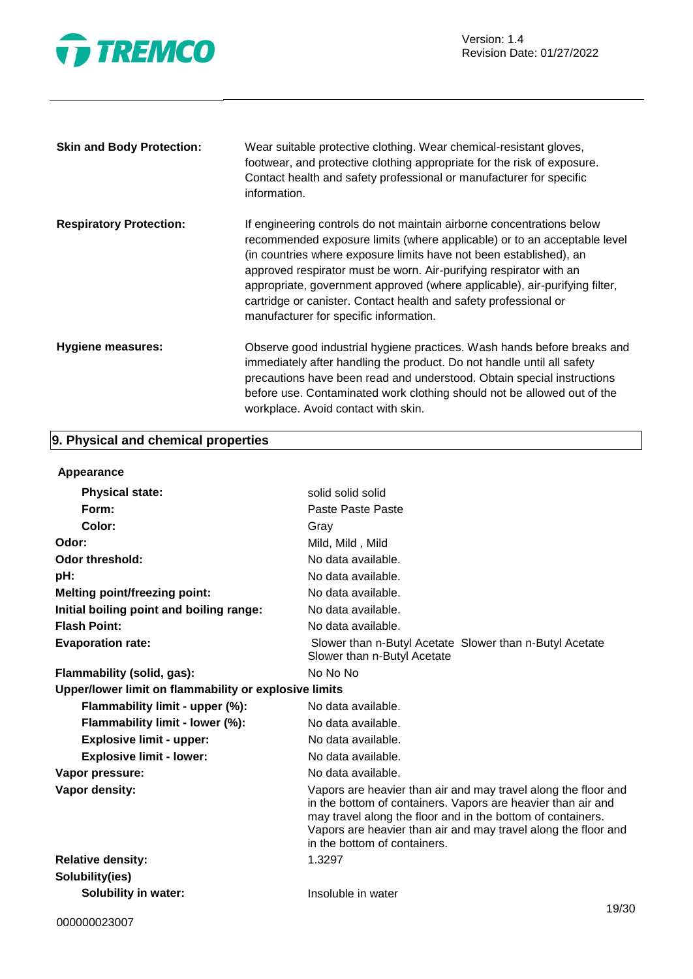

| <b>Skin and Body Protection:</b> | Wear suitable protective clothing. Wear chemical-resistant gloves,<br>footwear, and protective clothing appropriate for the risk of exposure.<br>Contact health and safety professional or manufacturer for specific<br>information.                                                                                                                                                                                                                                                      |
|----------------------------------|-------------------------------------------------------------------------------------------------------------------------------------------------------------------------------------------------------------------------------------------------------------------------------------------------------------------------------------------------------------------------------------------------------------------------------------------------------------------------------------------|
| <b>Respiratory Protection:</b>   | If engineering controls do not maintain airborne concentrations below<br>recommended exposure limits (where applicable) or to an acceptable level<br>(in countries where exposure limits have not been established), an<br>approved respirator must be worn. Air-purifying respirator with an<br>appropriate, government approved (where applicable), air-purifying filter,<br>cartridge or canister. Contact health and safety professional or<br>manufacturer for specific information. |
| <b>Hygiene measures:</b>         | Observe good industrial hygiene practices. Wash hands before breaks and<br>immediately after handling the product. Do not handle until all safety<br>precautions have been read and understood. Obtain special instructions<br>before use. Contaminated work clothing should not be allowed out of the<br>workplace. Avoid contact with skin.                                                                                                                                             |

### **9. Physical and chemical properties**

| Appearance                                            |                                                                                                                                                                                                                                                                                                 |
|-------------------------------------------------------|-------------------------------------------------------------------------------------------------------------------------------------------------------------------------------------------------------------------------------------------------------------------------------------------------|
| <b>Physical state:</b>                                | solid solid solid                                                                                                                                                                                                                                                                               |
| Form:                                                 | Paste Paste Paste                                                                                                                                                                                                                                                                               |
| Color:                                                | Gray                                                                                                                                                                                                                                                                                            |
| Odor:                                                 | Mild, Mild, Mild                                                                                                                                                                                                                                                                                |
| <b>Odor threshold:</b>                                | No data available.                                                                                                                                                                                                                                                                              |
| pH:                                                   | No data available.                                                                                                                                                                                                                                                                              |
| <b>Melting point/freezing point:</b>                  | No data available.                                                                                                                                                                                                                                                                              |
| Initial boiling point and boiling range:              | No data available.                                                                                                                                                                                                                                                                              |
| <b>Flash Point:</b>                                   | No data available.                                                                                                                                                                                                                                                                              |
| <b>Evaporation rate:</b>                              | Slower than n-Butyl Acetate Slower than n-Butyl Acetate<br>Slower than n-Butyl Acetate                                                                                                                                                                                                          |
| Flammability (solid, gas):                            | No No No                                                                                                                                                                                                                                                                                        |
| Upper/lower limit on flammability or explosive limits |                                                                                                                                                                                                                                                                                                 |
| Flammability limit - upper (%):                       | No data available.                                                                                                                                                                                                                                                                              |
| Flammability limit - lower (%):                       | No data available.                                                                                                                                                                                                                                                                              |
| <b>Explosive limit - upper:</b>                       | No data available.                                                                                                                                                                                                                                                                              |
| <b>Explosive limit - lower:</b>                       | No data available.                                                                                                                                                                                                                                                                              |
| Vapor pressure:                                       | No data available.                                                                                                                                                                                                                                                                              |
| Vapor density:                                        | Vapors are heavier than air and may travel along the floor and<br>in the bottom of containers. Vapors are heavier than air and<br>may travel along the floor and in the bottom of containers.<br>Vapors are heavier than air and may travel along the floor and<br>in the bottom of containers. |
| <b>Relative density:</b>                              | 1.3297                                                                                                                                                                                                                                                                                          |
| Solubility(ies)                                       |                                                                                                                                                                                                                                                                                                 |
| <b>Solubility in water:</b>                           | Insoluble in water                                                                                                                                                                                                                                                                              |
|                                                       |                                                                                                                                                                                                                                                                                                 |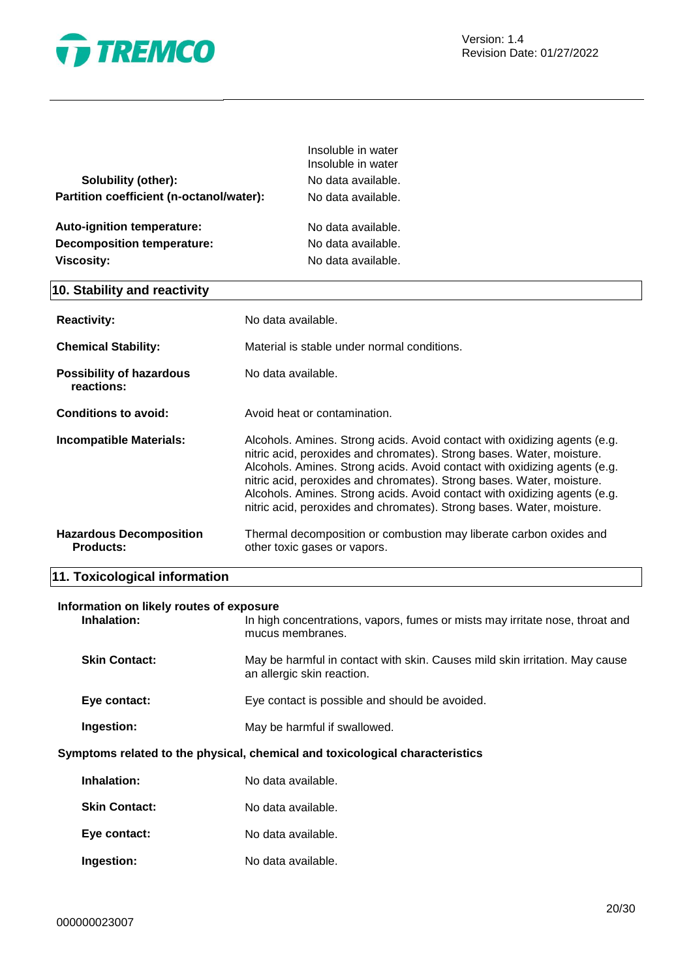

|                                          | Insoluble in water<br>Insoluble in water |
|------------------------------------------|------------------------------------------|
| Solubility (other):                      | No data available.                       |
| Partition coefficient (n-octanol/water): | No data available.                       |
|                                          |                                          |
| Auto-ignition temperature:               | No data available.                       |
| <b>Decomposition temperature:</b>        | No data available.                       |
| <b>Viscosity:</b>                        | No data available.                       |
|                                          |                                          |

### **10. Stability and reactivity**

| <b>Reactivity:</b>                                 | No data available.                                                                                                                                                                                                                                                                                                                                                                                                                                             |
|----------------------------------------------------|----------------------------------------------------------------------------------------------------------------------------------------------------------------------------------------------------------------------------------------------------------------------------------------------------------------------------------------------------------------------------------------------------------------------------------------------------------------|
| <b>Chemical Stability:</b>                         | Material is stable under normal conditions.                                                                                                                                                                                                                                                                                                                                                                                                                    |
| <b>Possibility of hazardous</b><br>reactions:      | No data available.                                                                                                                                                                                                                                                                                                                                                                                                                                             |
| Conditions to avoid:                               | Avoid heat or contamination.                                                                                                                                                                                                                                                                                                                                                                                                                                   |
| <b>Incompatible Materials:</b>                     | Alcohols. Amines. Strong acids. Avoid contact with oxidizing agents (e.g.<br>nitric acid, peroxides and chromates). Strong bases. Water, moisture.<br>Alcohols. Amines. Strong acids. Avoid contact with oxidizing agents (e.g.<br>nitric acid, peroxides and chromates). Strong bases. Water, moisture.<br>Alcohols. Amines. Strong acids. Avoid contact with oxidizing agents (e.g.<br>nitric acid, peroxides and chromates). Strong bases. Water, moisture. |
| <b>Hazardous Decomposition</b><br><b>Products:</b> | Thermal decomposition or combustion may liberate carbon oxides and<br>other toxic gases or vapors.                                                                                                                                                                                                                                                                                                                                                             |

### **11. Toxicological information**

## **Information on likely routes of exposure**

| Inhalation:          | In high concentrations, vapors, fumes or mists may irritate nose, throat and<br>mucus membranes.          |
|----------------------|-----------------------------------------------------------------------------------------------------------|
| <b>Skin Contact:</b> | May be harmful in contact with skin. Causes mild skin irritation. May cause<br>an allergic skin reaction. |
| Eye contact:         | Eye contact is possible and should be avoided.                                                            |
| Ingestion:           | May be harmful if swallowed.                                                                              |

### **Symptoms related to the physical, chemical and toxicological characteristics**

| Inhalation:          | No data available. |
|----------------------|--------------------|
| <b>Skin Contact:</b> | No data available. |
| Eye contact:         | No data available. |
| Ingestion:           | No data available. |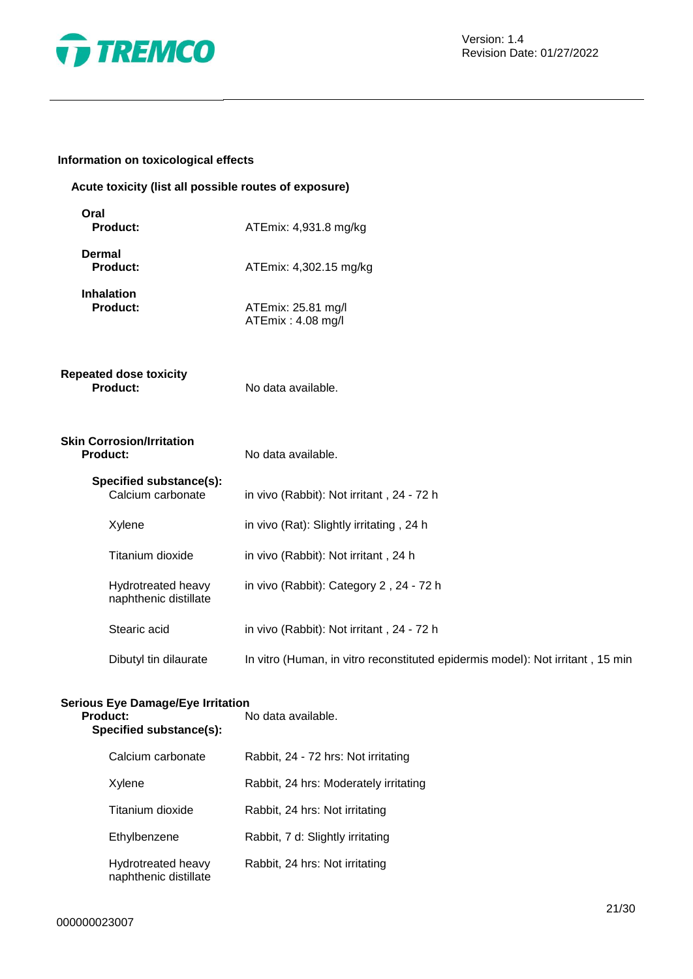

### **Information on toxicological effects**

### **Acute toxicity (list all possible routes of exposure)**

| ATEmix: 4,931.8 mg/kg                                                          |
|--------------------------------------------------------------------------------|
| ATEmix: 4,302.15 mg/kg                                                         |
| ATEmix: 25.81 mg/l<br>ATEmix: 4.08 mg/l                                        |
| No data available.                                                             |
| No data available.                                                             |
| in vivo (Rabbit): Not irritant, 24 - 72 h                                      |
| in vivo (Rat): Slightly irritating, 24 h                                       |
| in vivo (Rabbit): Not irritant, 24 h                                           |
| in vivo (Rabbit): Category 2, 24 - 72 h                                        |
| in vivo (Rabbit): Not irritant, 24 - 72 h                                      |
| In vitro (Human, in vitro reconstituted epidermis model): Not irritant, 15 min |
|                                                                                |

### **Serious Eye Damage/Eye Irritation Product:** No data available. **Specified substance(s):** Calcium carbonate Rabbit, 24 - 72 hrs: Not irritating Xylene Rabbit, 24 hrs: Moderately irritating Titanium dioxide Rabbit, 24 hrs: Not irritating Ethylbenzene Rabbit, 7 d: Slightly irritating Hydrotreated heavy naphthenic distillate Rabbit, 24 hrs: Not irritating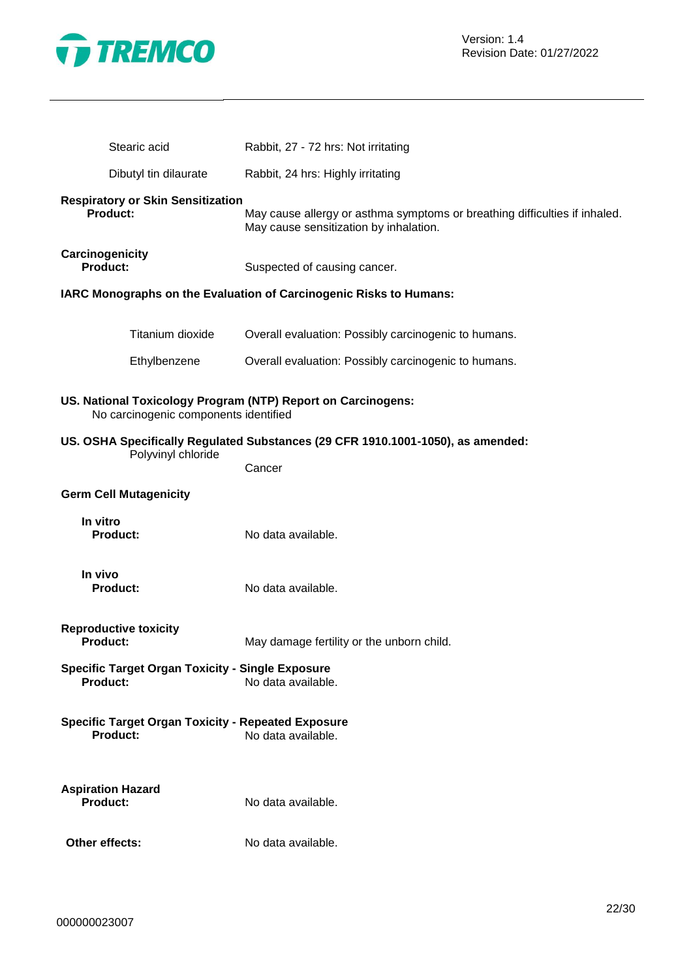

| Stearic acid                                                                 | Rabbit, 27 - 72 hrs: Not irritating                                                                                  |
|------------------------------------------------------------------------------|----------------------------------------------------------------------------------------------------------------------|
| Dibutyl tin dilaurate                                                        | Rabbit, 24 hrs: Highly irritating                                                                                    |
| <b>Respiratory or Skin Sensitization</b><br>Product:                         | May cause allergy or asthma symptoms or breathing difficulties if inhaled.<br>May cause sensitization by inhalation. |
| Carcinogenicity<br><b>Product:</b>                                           | Suspected of causing cancer.                                                                                         |
|                                                                              | IARC Monographs on the Evaluation of Carcinogenic Risks to Humans:                                                   |
| Titanium dioxide                                                             | Overall evaluation: Possibly carcinogenic to humans.                                                                 |
| Ethylbenzene                                                                 | Overall evaluation: Possibly carcinogenic to humans.                                                                 |
| No carcinogenic components identified                                        | US. National Toxicology Program (NTP) Report on Carcinogens:                                                         |
| Polyvinyl chloride                                                           | US. OSHA Specifically Regulated Substances (29 CFR 1910.1001-1050), as amended:                                      |
|                                                                              | Cancer                                                                                                               |
| <b>Germ Cell Mutagenicity</b>                                                |                                                                                                                      |
| In vitro<br><b>Product:</b>                                                  | No data available.                                                                                                   |
| In vivo<br><b>Product:</b>                                                   | No data available.                                                                                                   |
| <b>Reproductive toxicity</b><br>Product:                                     | May damage fertility or the unborn child.                                                                            |
| <b>Specific Target Organ Toxicity - Single Exposure</b><br>Product:          | No data available.                                                                                                   |
| <b>Specific Target Organ Toxicity - Repeated Exposure</b><br><b>Product:</b> | No data available.                                                                                                   |
| <b>Aspiration Hazard</b><br>Product:                                         | No data available.                                                                                                   |
| Other effects:                                                               | No data available.                                                                                                   |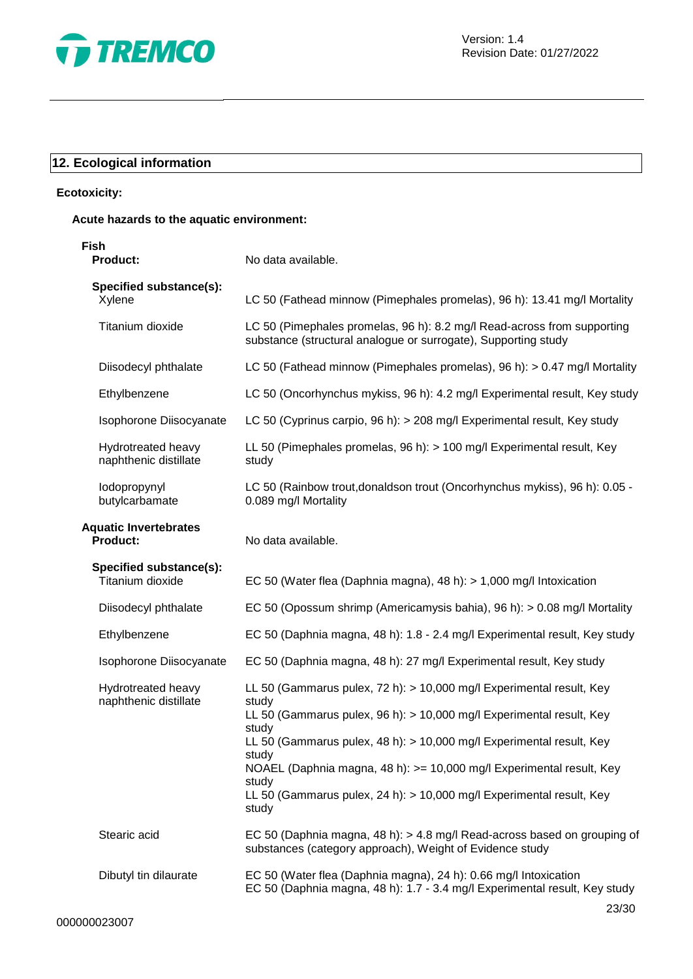

### **12. Ecological information**

### **Ecotoxicity:**

### **Acute hazards to the aquatic environment:**

| Fish<br><b>Product:</b>                         | No data available.                                                                                                                                                                                                                                                                                                                                                                                                |
|-------------------------------------------------|-------------------------------------------------------------------------------------------------------------------------------------------------------------------------------------------------------------------------------------------------------------------------------------------------------------------------------------------------------------------------------------------------------------------|
| Specified substance(s):<br>Xylene               | LC 50 (Fathead minnow (Pimephales promelas), 96 h): 13.41 mg/l Mortality                                                                                                                                                                                                                                                                                                                                          |
| Titanium dioxide                                | LC 50 (Pimephales promelas, 96 h): 8.2 mg/l Read-across from supporting<br>substance (structural analogue or surrogate), Supporting study                                                                                                                                                                                                                                                                         |
| Diisodecyl phthalate                            | LC 50 (Fathead minnow (Pimephales promelas), 96 h): > 0.47 mg/l Mortality                                                                                                                                                                                                                                                                                                                                         |
| Ethylbenzene                                    | LC 50 (Oncorhynchus mykiss, 96 h): 4.2 mg/l Experimental result, Key study                                                                                                                                                                                                                                                                                                                                        |
| Isophorone Diisocyanate                         | LC 50 (Cyprinus carpio, 96 h): > 208 mg/l Experimental result, Key study                                                                                                                                                                                                                                                                                                                                          |
| Hydrotreated heavy<br>naphthenic distillate     | LL 50 (Pimephales promelas, 96 h): > 100 mg/l Experimental result, Key<br>study                                                                                                                                                                                                                                                                                                                                   |
| lodopropynyl<br>butylcarbamate                  | LC 50 (Rainbow trout, donaldson trout (Oncorhynchus mykiss), 96 h): 0.05 -<br>0.089 mg/l Mortality                                                                                                                                                                                                                                                                                                                |
| <b>Aquatic Invertebrates</b><br><b>Product:</b> | No data available.                                                                                                                                                                                                                                                                                                                                                                                                |
| Specified substance(s):<br>Titanium dioxide     | EC 50 (Water flea (Daphnia magna), 48 h): $> 1,000$ mg/l Intoxication                                                                                                                                                                                                                                                                                                                                             |
| Diisodecyl phthalate                            | EC 50 (Opossum shrimp (Americamysis bahia), 96 h): > 0.08 mg/l Mortality                                                                                                                                                                                                                                                                                                                                          |
| Ethylbenzene                                    | EC 50 (Daphnia magna, 48 h): 1.8 - 2.4 mg/l Experimental result, Key study                                                                                                                                                                                                                                                                                                                                        |
| Isophorone Diisocyanate                         | EC 50 (Daphnia magna, 48 h): 27 mg/l Experimental result, Key study                                                                                                                                                                                                                                                                                                                                               |
| Hydrotreated heavy<br>naphthenic distillate     | LL 50 (Gammarus pulex, 72 h): > 10,000 mg/l Experimental result, Key<br>study<br>LL 50 (Gammarus pulex, 96 h): > 10,000 mg/l Experimental result, Key<br>study<br>LL 50 (Gammarus pulex, 48 h): > 10,000 mg/l Experimental result, Key<br>study<br>NOAEL (Daphnia magna, 48 h): >= 10,000 mg/l Experimental result, Key<br>study<br>LL 50 (Gammarus pulex, 24 h): > 10,000 mg/l Experimental result, Key<br>study |
| Stearic acid                                    | EC 50 (Daphnia magna, 48 h): > 4.8 mg/l Read-across based on grouping of<br>substances (category approach), Weight of Evidence study                                                                                                                                                                                                                                                                              |
| Dibutyl tin dilaurate                           | EC 50 (Water flea (Daphnia magna), 24 h): 0.66 mg/l Intoxication<br>EC 50 (Daphnia magna, 48 h): 1.7 - 3.4 mg/l Experimental result, Key study                                                                                                                                                                                                                                                                    |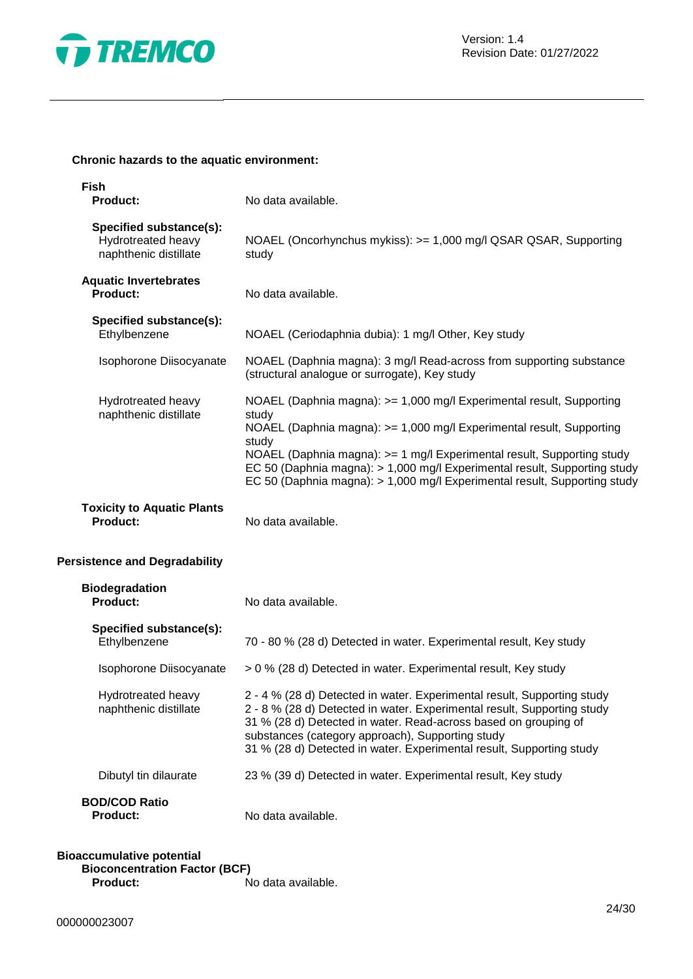

### **Chronic hazards to the aquatic environment:**

| <b>Fish</b><br><b>Product:</b>                                         | No data available.                                                                                                                                                                                                                                                                                                                                                                                 |
|------------------------------------------------------------------------|----------------------------------------------------------------------------------------------------------------------------------------------------------------------------------------------------------------------------------------------------------------------------------------------------------------------------------------------------------------------------------------------------|
| Specified substance(s):<br>Hydrotreated heavy<br>naphthenic distillate | NOAEL (Oncorhynchus mykiss): >= 1,000 mg/l QSAR QSAR, Supporting<br>study                                                                                                                                                                                                                                                                                                                          |
| <b>Aquatic Invertebrates</b><br><b>Product:</b>                        | No data available.                                                                                                                                                                                                                                                                                                                                                                                 |
| Specified substance(s):<br>Ethylbenzene                                | NOAEL (Ceriodaphnia dubia): 1 mg/l Other, Key study                                                                                                                                                                                                                                                                                                                                                |
| Isophorone Diisocyanate                                                | NOAEL (Daphnia magna): 3 mg/l Read-across from supporting substance<br>(structural analogue or surrogate), Key study                                                                                                                                                                                                                                                                               |
| Hydrotreated heavy<br>naphthenic distillate                            | NOAEL (Daphnia magna): >= 1,000 mg/l Experimental result, Supporting<br>study<br>NOAEL (Daphnia magna): >= 1,000 mg/l Experimental result, Supporting<br>study<br>NOAEL (Daphnia magna): >= 1 mg/l Experimental result, Supporting study<br>EC 50 (Daphnia magna): > 1,000 mg/l Experimental result, Supporting study<br>EC 50 (Daphnia magna): > 1,000 mg/l Experimental result, Supporting study |
| <b>Toxicity to Aquatic Plants</b><br>Product:                          | No data available.                                                                                                                                                                                                                                                                                                                                                                                 |
| <b>Persistence and Degradability</b>                                   |                                                                                                                                                                                                                                                                                                                                                                                                    |
| <b>Biodegradation</b><br><b>Product:</b>                               | No data available.                                                                                                                                                                                                                                                                                                                                                                                 |
| Specified substance(s):<br>Ethylbenzene                                | 70 - 80 % (28 d) Detected in water. Experimental result, Key study                                                                                                                                                                                                                                                                                                                                 |
| Isophorone Diisocyanate                                                | > 0 % (28 d) Detected in water. Experimental result, Key study                                                                                                                                                                                                                                                                                                                                     |
| Hydrotreated heavy<br>naphthenic distillate                            | 2 - 4 % (28 d) Detected in water. Experimental result, Supporting study<br>2 - 8 % (28 d) Detected in water. Experimental result, Supporting study<br>31 % (28 d) Detected in water. Read-across based on grouping of<br>substances (category approach), Supporting study<br>31 % (28 d) Detected in water. Experimental result, Supporting study                                                  |
| Dibutyl tin dilaurate                                                  | 23 % (39 d) Detected in water. Experimental result, Key study                                                                                                                                                                                                                                                                                                                                      |
| <b>BOD/COD Ratio</b><br><b>Product:</b>                                | No data available.                                                                                                                                                                                                                                                                                                                                                                                 |

### **Bioaccumulative potential Bioconcentration Factor (BCF)**<br>**Product:** N **Product:** No data available.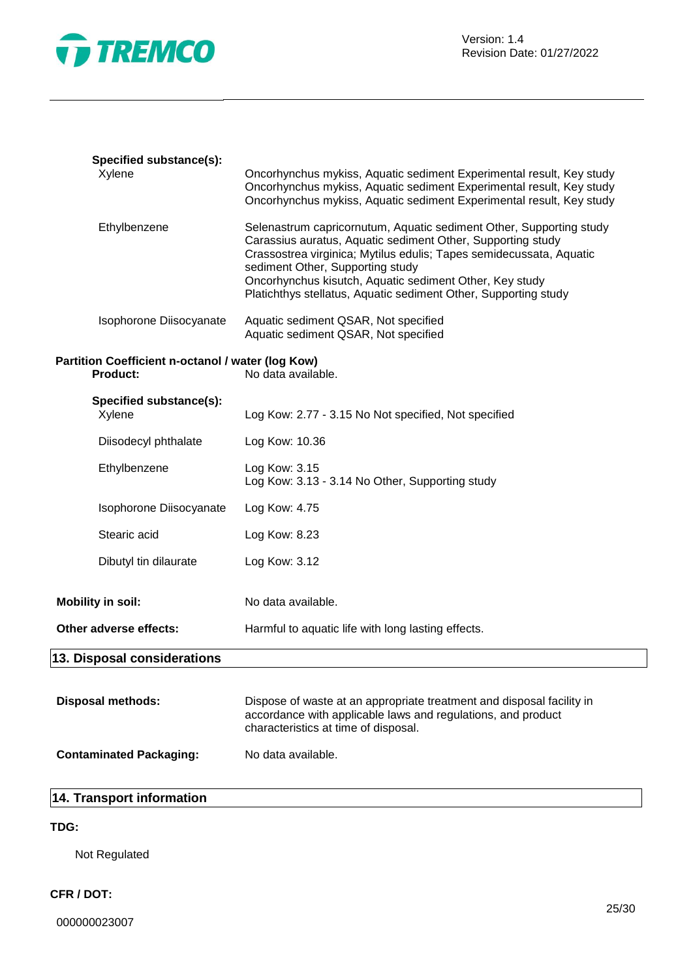

| Specified substance(s):<br>Xylene                             | Oncorhynchus mykiss, Aquatic sediment Experimental result, Key study<br>Oncorhynchus mykiss, Aquatic sediment Experimental result, Key study                                                                                                                                                                                                                                |
|---------------------------------------------------------------|-----------------------------------------------------------------------------------------------------------------------------------------------------------------------------------------------------------------------------------------------------------------------------------------------------------------------------------------------------------------------------|
|                                                               | Oncorhynchus mykiss, Aquatic sediment Experimental result, Key study                                                                                                                                                                                                                                                                                                        |
| Ethylbenzene                                                  | Selenastrum capricornutum, Aquatic sediment Other, Supporting study<br>Carassius auratus, Aquatic sediment Other, Supporting study<br>Crassostrea virginica; Mytilus edulis; Tapes semidecussata, Aquatic<br>sediment Other, Supporting study<br>Oncorhynchus kisutch, Aquatic sediment Other, Key study<br>Platichthys stellatus, Aquatic sediment Other, Supporting study |
| Isophorone Diisocyanate                                       | Aquatic sediment QSAR, Not specified<br>Aquatic sediment QSAR, Not specified                                                                                                                                                                                                                                                                                                |
| Partition Coefficient n-octanol / water (log Kow)<br>Product: | No data available.                                                                                                                                                                                                                                                                                                                                                          |
| Specified substance(s):<br>Xylene                             | Log Kow: 2.77 - 3.15 No Not specified, Not specified                                                                                                                                                                                                                                                                                                                        |
| Diisodecyl phthalate                                          | Log Kow: 10.36                                                                                                                                                                                                                                                                                                                                                              |
| Ethylbenzene                                                  | Log Kow: 3.15<br>Log Kow: 3.13 - 3.14 No Other, Supporting study                                                                                                                                                                                                                                                                                                            |
| Isophorone Diisocyanate                                       | Log Kow: 4.75                                                                                                                                                                                                                                                                                                                                                               |
| Stearic acid                                                  | Log Kow: 8.23                                                                                                                                                                                                                                                                                                                                                               |
| Dibutyl tin dilaurate                                         | Log Kow: 3.12                                                                                                                                                                                                                                                                                                                                                               |
| <b>Mobility in soil:</b>                                      | No data available.                                                                                                                                                                                                                                                                                                                                                          |
| Other adverse effects:                                        | Harmful to aquatic life with long lasting effects.                                                                                                                                                                                                                                                                                                                          |
| 13. Disposal considerations                                   |                                                                                                                                                                                                                                                                                                                                                                             |
| <b>Disposal methods:</b>                                      | Dispose of waste at an appropriate treatment and disposal facility in<br>accordance with applicable laws and regulations, and product<br>characteristics at time of disposal.                                                                                                                                                                                               |
| <b>Contaminated Packaging:</b>                                | No data available.                                                                                                                                                                                                                                                                                                                                                          |

### **14. Transport information**

### **TDG:**

Not Regulated

### **CFR / DOT:**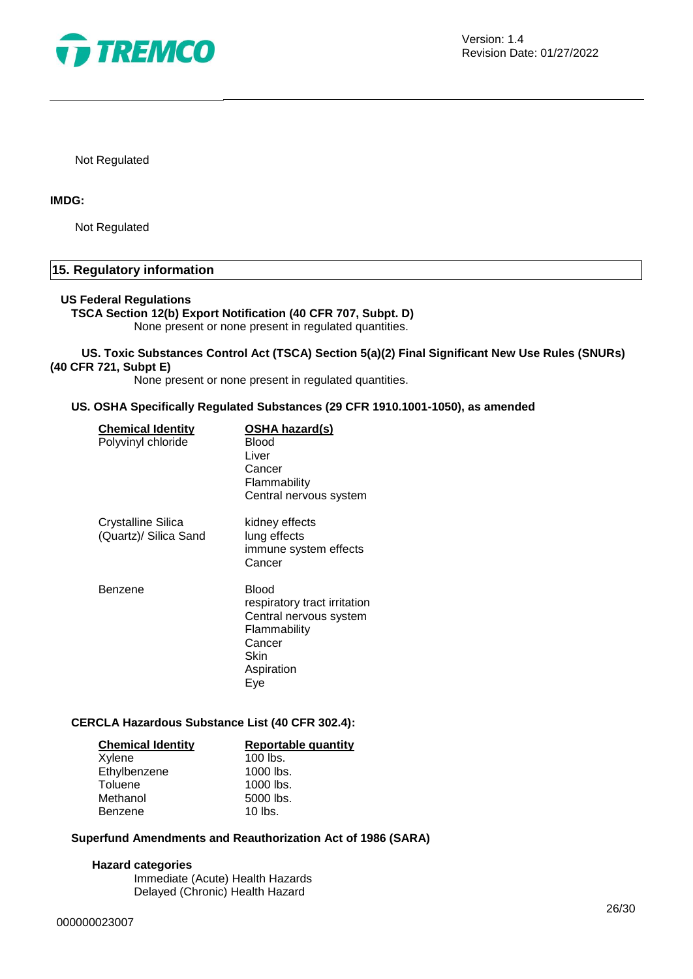

Not Regulated

### **IMDG:**

Not Regulated

### **15. Regulatory information**

### **US Federal Regulations**

### **TSCA Section 12(b) Export Notification (40 CFR 707, Subpt. D)** None present or none present in regulated quantities.

### **US. Toxic Substances Control Act (TSCA) Section 5(a)(2) Final Significant New Use Rules (SNURs) (40 CFR 721, Subpt E)**

None present or none present in regulated quantities.

### **US. OSHA Specifically Regulated Substances (29 CFR 1910.1001-1050), as amended**

| <b>Chemical Identity</b><br>Polyvinyl chloride | OSHA hazard(s)<br>Blood<br>Liver<br>Cancer<br>Flammability<br>Central nervous system                                   |
|------------------------------------------------|------------------------------------------------------------------------------------------------------------------------|
| Crystalline Silica<br>(Quartz)/ Silica Sand    | kidney effects<br>lung effects<br>immune system effects<br>Cancer                                                      |
| Benzene                                        | Blood<br>respiratory tract irritation<br>Central nervous system<br>Flammability<br>Cancer<br>Skin<br>Aspiration<br>Eve |

### **CERCLA Hazardous Substance List (40 CFR 302.4):**

| <b>Chemical Identity</b> | <b>Reportable quantity</b> |
|--------------------------|----------------------------|
| Xylene                   | 100 lbs.                   |
| Ethylbenzene             | 1000 lbs.                  |
| Toluene                  | 1000 lbs.                  |
| Methanol                 | 5000 lbs.                  |
| <b>Benzene</b>           | $10$ lbs.                  |

### **Superfund Amendments and Reauthorization Act of 1986 (SARA)**

### **Hazard categories**

Immediate (Acute) Health Hazards Delayed (Chronic) Health Hazard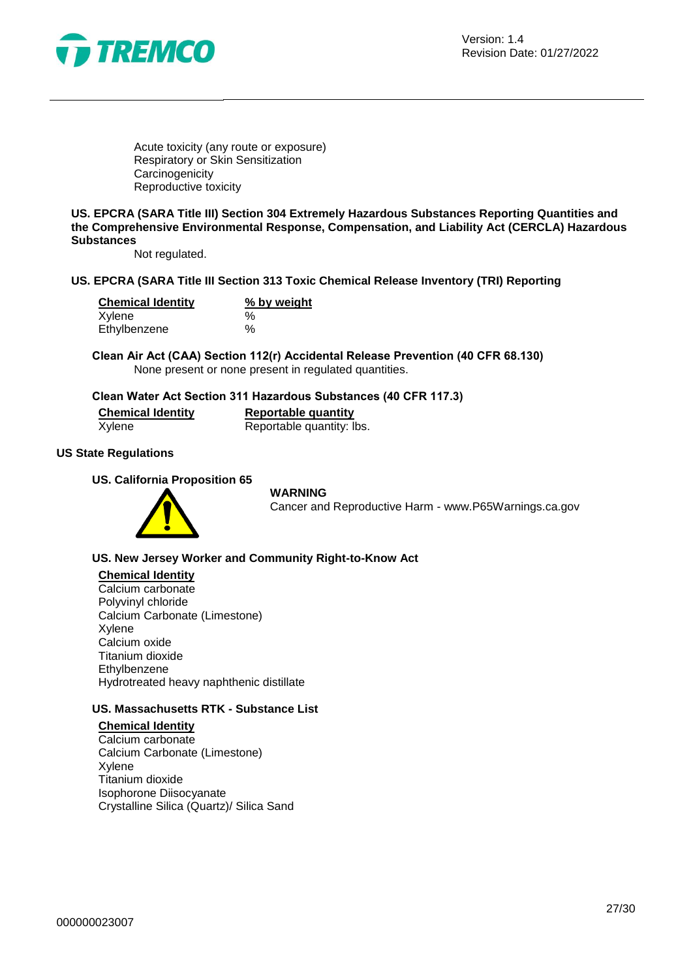

Acute toxicity (any route or exposure) Respiratory or Skin Sensitization **Carcinogenicity** Reproductive toxicity

**US. EPCRA (SARA Title III) Section 304 Extremely Hazardous Substances Reporting Quantities and the Comprehensive Environmental Response, Compensation, and Liability Act (CERCLA) Hazardous Substances**

Not regulated.

### **US. EPCRA (SARA Title III Section 313 Toxic Chemical Release Inventory (TRI) Reporting**

| <b>Chemical Identity</b> | % by weight |  |
|--------------------------|-------------|--|
| Xylene                   | $\%$        |  |
| Ethylbenzene             | $\%$        |  |

**Clean Air Act (CAA) Section 112(r) Accidental Release Prevention (40 CFR 68.130)** None present or none present in regulated quantities.

### **Clean Water Act Section 311 Hazardous Substances (40 CFR 117.3)**

**Chemical Identity**<br> **Reportable quantity:** Reportable quantity: I Reportable quantity: lbs.

### **US State Regulations**

**US. California Proposition 65**



#### **WARNING**

Cancer and Reproductive Harm - www.P65Warnings.ca.gov

### **US. New Jersey Worker and Community Right-to-Know Act**

### **Chemical Identity**

Calcium carbonate Polyvinyl chloride Calcium Carbonate (Limestone) Xylene Calcium oxide Titanium dioxide Ethylbenzene Hydrotreated heavy naphthenic distillate

### **US. Massachusetts RTK - Substance List**

**Chemical Identity** Calcium carbonate Calcium Carbonate (Limestone) Xylene Titanium dioxide Isophorone Diisocyanate Crystalline Silica (Quartz)/ Silica Sand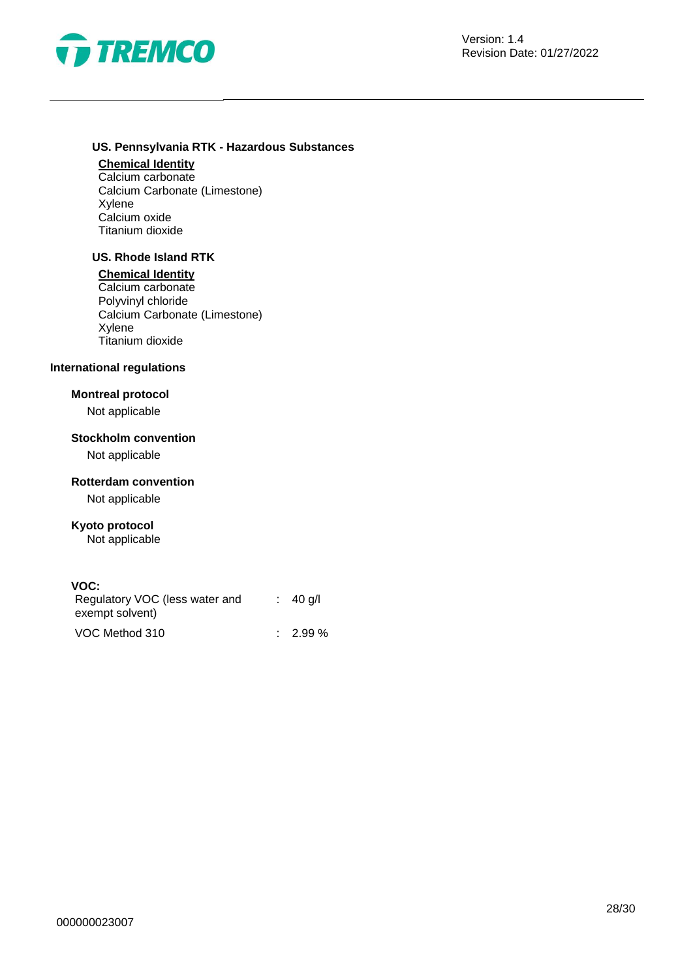

### **US. Pennsylvania RTK - Hazardous Substances**

### **Chemical Identity**

Calcium carbonate Calcium Carbonate (Limestone) Xylene Calcium oxide Titanium dioxide

### **US. Rhode Island RTK**

#### **Chemical Identity**

Calcium carbonate Polyvinyl chloride Calcium Carbonate (Limestone) Xylene Titanium dioxide

### **International regulations**

### **Montreal protocol**

Not applicable

### **Stockholm convention**

Not applicable

### **Rotterdam convention**

Not applicable

### **Kyoto protocol**

Not applicable

### **VOC:**

| Regulatory VOC (less water and<br>exempt solvent) | $\therefore$ 40 g/l |
|---------------------------------------------------|---------------------|
| VOC Method 310                                    | $\therefore$ 2.99 % |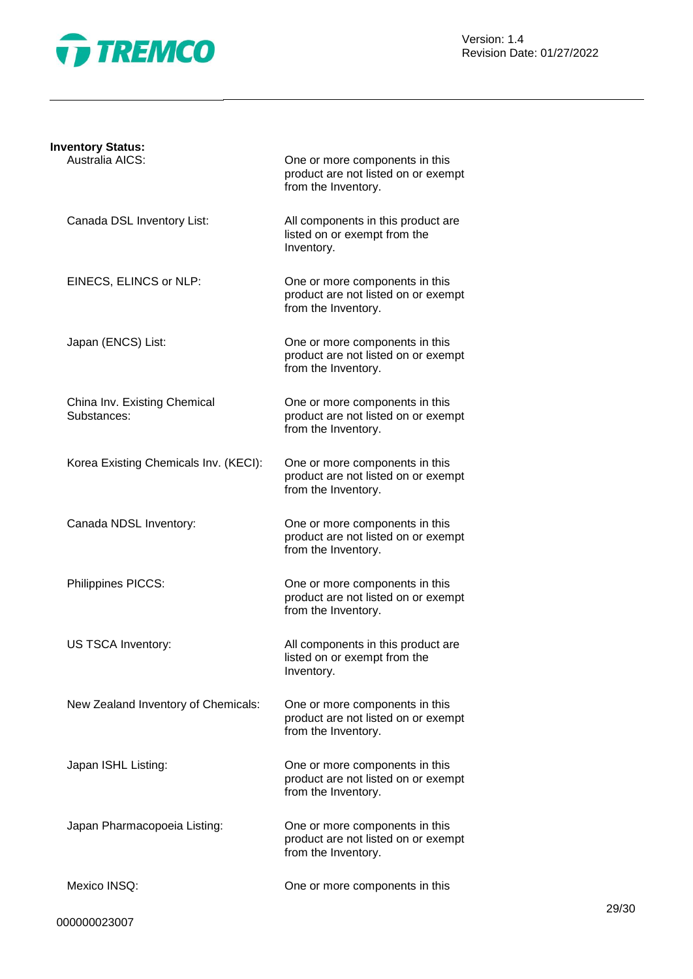

Version: 1.4 Revision Date: 01/27/2022

| <b>Inventory Status:</b>                    |                                                                                              |
|---------------------------------------------|----------------------------------------------------------------------------------------------|
| Australia AICS:                             | One or more components in this<br>product are not listed on or exempt<br>from the Inventory. |
| Canada DSL Inventory List:                  | All components in this product are<br>listed on or exempt from the<br>Inventory.             |
| EINECS, ELINCS or NLP:                      | One or more components in this<br>product are not listed on or exempt<br>from the Inventory. |
| Japan (ENCS) List:                          | One or more components in this<br>product are not listed on or exempt<br>from the Inventory. |
| China Inv. Existing Chemical<br>Substances: | One or more components in this<br>product are not listed on or exempt<br>from the Inventory. |
| Korea Existing Chemicals Inv. (KECI):       | One or more components in this<br>product are not listed on or exempt<br>from the Inventory. |
| Canada NDSL Inventory:                      | One or more components in this<br>product are not listed on or exempt<br>from the Inventory. |
| Philippines PICCS:                          | One or more components in this<br>product are not listed on or exempt<br>from the Inventory. |
| <b>US TSCA Inventory:</b>                   | All components in this product are<br>listed on or exempt from the<br>Inventory.             |
| New Zealand Inventory of Chemicals:         | One or more components in this<br>product are not listed on or exempt<br>from the Inventory. |
| Japan ISHL Listing:                         | One or more components in this<br>product are not listed on or exempt<br>from the Inventory. |
| Japan Pharmacopoeia Listing:                | One or more components in this<br>product are not listed on or exempt<br>from the Inventory. |
| Mexico INSQ:                                | One or more components in this                                                               |